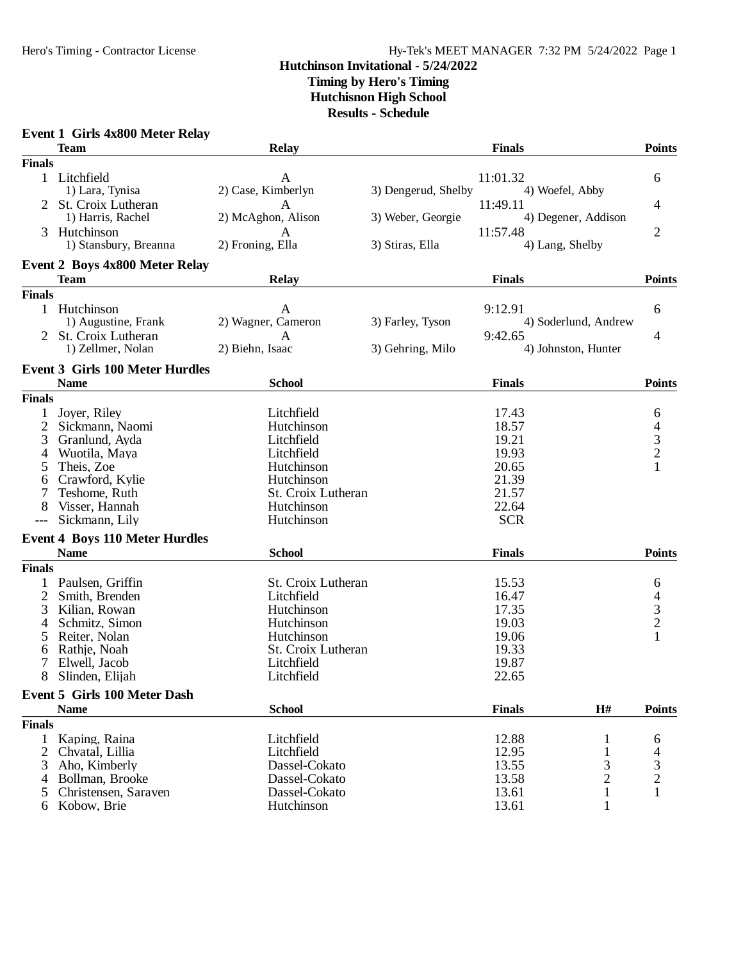## Hero's Timing - Contractor License Hy-Tek's MEET MANAGER 7:32 PM 5/24/2022 Page 1

## **Hutchinson Invitational - 5/24/2022 Timing by Hero's Timing**

**Hutchisnon High School**

**Results - Schedule**

|                | <b>Event 1 Girls 4x800 Meter Relay</b> |                    |                     |               |                      |                |
|----------------|----------------------------------------|--------------------|---------------------|---------------|----------------------|----------------|
|                | <b>Team</b>                            | <b>Relay</b>       |                     | <b>Finals</b> |                      | <b>Points</b>  |
| <b>Finals</b>  |                                        |                    |                     |               |                      |                |
|                | 1 Litchfield                           | A                  |                     | 11:01.32      |                      | 6              |
|                | 1) Lara, Tynisa                        | 2) Case, Kimberlyn | 3) Dengerud, Shelby |               | 4) Woefel, Abby      |                |
|                | St. Croix Lutheran                     | A                  |                     | 11:49.11      |                      | 4              |
|                | 1) Harris, Rachel                      | 2) McAghon, Alison | 3) Weber, Georgie   |               | 4) Degener, Addison  |                |
| 3              | Hutchinson                             | A                  |                     | 11:57.48      |                      | $\overline{2}$ |
|                | 1) Stansbury, Breanna                  | 2) Froning, Ella   | 3) Stiras, Ella     |               | 4) Lang, Shelby      |                |
|                |                                        |                    |                     |               |                      |                |
|                | <b>Event 2 Boys 4x800 Meter Relay</b>  |                    |                     |               |                      |                |
|                | <b>Team</b>                            | <b>Relay</b>       |                     | <b>Finals</b> |                      | <b>Points</b>  |
| <b>Finals</b>  |                                        |                    |                     |               |                      |                |
|                | 1 Hutchinson                           | A                  |                     | 9:12.91       |                      | 6              |
|                | 1) Augustine, Frank                    | 2) Wagner, Cameron | 3) Farley, Tyson    |               | 4) Soderlund, Andrew |                |
|                | St. Croix Lutheran                     | A                  |                     | 9:42.65       |                      | 4              |
|                | 1) Zellmer, Nolan                      | 2) Biehn, Isaac    | 3) Gehring, Milo    |               | 4) Johnston, Hunter  |                |
|                |                                        |                    |                     |               |                      |                |
|                | <b>Event 3 Girls 100 Meter Hurdles</b> |                    |                     |               |                      |                |
|                | <b>Name</b>                            | <b>School</b>      |                     | <b>Finals</b> |                      | <b>Points</b>  |
| <b>Finals</b>  |                                        |                    |                     |               |                      |                |
| 1              | Joyer, Riley                           | Litchfield         |                     | 17.43         |                      | 6              |
| 2              | Sickmann, Naomi                        | Hutchinson         |                     | 18.57         |                      |                |
| 3              | Granlund, Ayda                         | Litchfield         |                     | 19.21         |                      | $\frac{4}{3}$  |
| 4              | Wuotila, Maya                          | Litchfield         |                     | 19.93         |                      |                |
| 5              | Theis, Zoe                             | Hutchinson         |                     | 20.65         |                      | 1              |
| 6              | Crawford, Kylie                        | Hutchinson         |                     | 21.39         |                      |                |
|                | Teshome, Ruth                          | St. Croix Lutheran |                     | 21.57         |                      |                |
| 8              | Visser, Hannah                         | Hutchinson         |                     | 22.64         |                      |                |
|                | Sickmann, Lily                         | Hutchinson         |                     | <b>SCR</b>    |                      |                |
|                | <b>Event 4 Boys 110 Meter Hurdles</b>  |                    |                     |               |                      |                |
|                | <b>Name</b>                            | <b>School</b>      |                     | <b>Finals</b> |                      | <b>Points</b>  |
|                |                                        |                    |                     |               |                      |                |
| <b>Finals</b>  |                                        |                    |                     |               |                      |                |
| $\mathbf{1}$   | Paulsen, Griffin                       | St. Croix Lutheran |                     | 15.53         |                      | 6              |
| $\overline{2}$ | Smith, Brenden                         | Litchfield         |                     | 16.47         |                      |                |
| 3              | Kilian, Rowan                          | Hutchinson         |                     | 17.35         |                      | $\frac{4}{3}$  |
| 4              | Schmitz, Simon                         | Hutchinson         |                     | 19.03         |                      |                |
| 5              | Reiter, Nolan                          | Hutchinson         |                     | 19.06         |                      | $\mathbf{1}$   |
| 6              | Rathje, Noah                           | St. Croix Lutheran |                     | 19.33         |                      |                |
| 7              | Elwell, Jacob                          | Litchfield         |                     | 19.87         |                      |                |
| 8              | Slinden, Elijah                        | Litchfield         |                     | 22.65         |                      |                |
|                | Event 5 Girls 100 Meter Dash           |                    |                     |               |                      |                |
|                | <b>Name</b>                            | <b>School</b>      |                     | <b>Finals</b> | $\mathbf{H}$ #       | <b>Points</b>  |
| <b>Finals</b>  |                                        |                    |                     |               |                      |                |
| $\mathbf{1}$   | Kaping, Raina                          | Litchfield         |                     | 12.88         |                      |                |
| 2              | Chvatal, Lillia                        | Litchfield         |                     | 12.95         |                      | 6              |
| 3              | Aho, Kimberly                          | Dassel-Cokato      |                     | 13.55         | 3                    | 3              |
| 4              | Bollman, Brooke                        | Dassel-Cokato      |                     | 13.58         | $\overline{c}$       | $\overline{c}$ |
| 5              | Christensen, Saraven                   | Dassel-Cokato      |                     | 13.61         | 1                    | 1              |
|                | 6 Kobow, Brie                          | Hutchinson         |                     | 13.61         | 1                    |                |
|                |                                        |                    |                     |               |                      |                |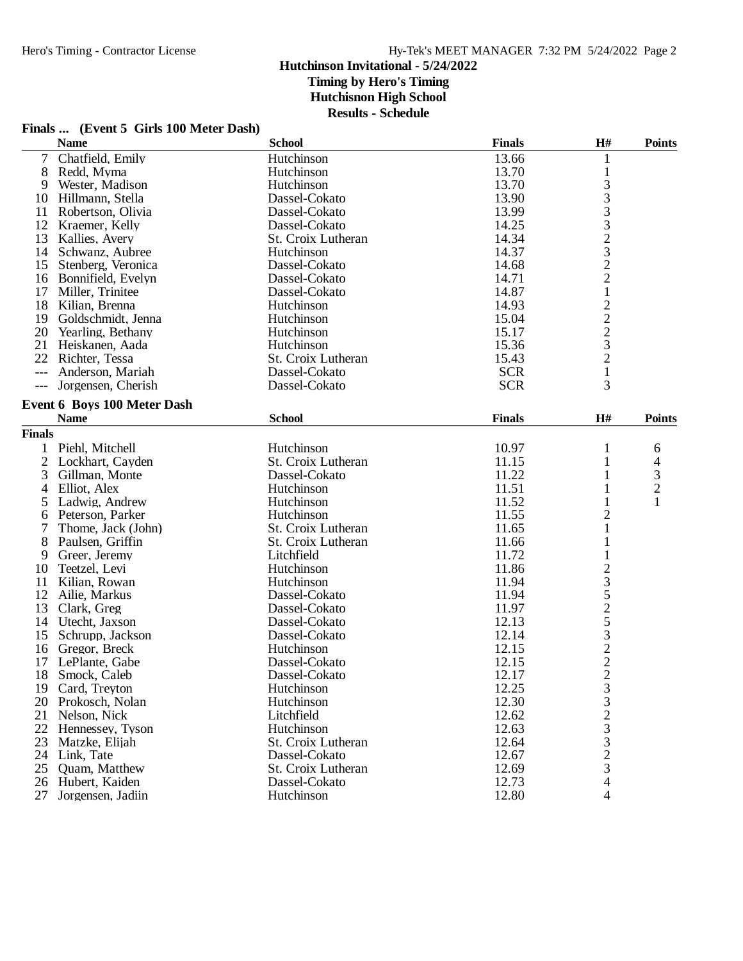## **Finals ... (Event 5 Girls 100 Meter Dash)**

|               | <b>Name</b>                        | <b>School</b>      | <b>Finals</b> | $\mathbf{H}^{\#}$                                 | <b>Points</b>  |
|---------------|------------------------------------|--------------------|---------------|---------------------------------------------------|----------------|
| 7             | Chatfield, Emily                   | Hutchinson         | 13.66         | 1                                                 |                |
| 8             | Redd, Myma                         | Hutchinson         | 13.70         | $\mathbf{1}$                                      |                |
| 9             | Wester, Madison                    | Hutchinson         | 13.70         |                                                   |                |
| 10            | Hillmann, Stella                   | Dassel-Cokato      | 13.90         | 3332322                                           |                |
| 11            | Robertson, Olivia                  | Dassel-Cokato      | 13.99         |                                                   |                |
| 12            | Kraemer, Kelly                     | Dassel-Cokato      | 14.25         |                                                   |                |
| 13            | Kallies, Avery                     | St. Croix Lutheran | 14.34         |                                                   |                |
| 14            | Schwanz, Aubree                    | Hutchinson         | 14.37         |                                                   |                |
| 15            | Stenberg, Veronica                 | Dassel-Cokato      | 14.68         |                                                   |                |
| 16            | Bonnifield, Evelyn                 | Dassel-Cokato      | 14.71         |                                                   |                |
| 17            | Miller, Trinitee                   | Dassel-Cokato      | 14.87         | $\mathbf{1}$                                      |                |
| 18            | Kilian, Brenna                     | Hutchinson         | 14.93         |                                                   |                |
| 19            | Goldschmidt, Jenna                 | Hutchinson         | 15.04         | $\begin{array}{c}\n2 \\ 2 \\ 3 \\ 2\n\end{array}$ |                |
|               | 20 Yearling, Bethany               | Hutchinson         | 15.17         |                                                   |                |
| 21            |                                    | Hutchinson         | 15.36         |                                                   |                |
|               | Heiskanen, Aada                    |                    |               |                                                   |                |
|               | 22 Richter, Tessa                  | St. Croix Lutheran | 15.43         |                                                   |                |
| $---$         | Anderson, Mariah                   | Dassel-Cokato      | <b>SCR</b>    | $\mathbf{1}$                                      |                |
| $---$         | Jorgensen, Cherish                 | Dassel-Cokato      | <b>SCR</b>    | 3                                                 |                |
|               | <b>Event 6 Boys 100 Meter Dash</b> |                    |               |                                                   |                |
|               | <b>Name</b>                        | <b>School</b>      | <b>Finals</b> | H#                                                | <b>Points</b>  |
| <b>Finals</b> |                                    |                    |               |                                                   |                |
| 1             | Piehl, Mitchell                    | Hutchinson         | 10.97         | 1                                                 | 6              |
|               | 2 Lockhart, Cayden                 | St. Croix Lutheran | 11.15         | 1                                                 | 4              |
| 3             | Gillman, Monte                     | Dassel-Cokato      | 11.22         | 1                                                 | 3              |
| 4             | Elliot, Alex                       | Hutchinson         | 11.51         | 1                                                 | $\overline{c}$ |
| 5             | Ladwig, Andrew                     | Hutchinson         | 11.52         | 1                                                 | $\mathbf{1}$   |
|               |                                    |                    |               |                                                   |                |
| 6             | Peterson, Parker                   | Hutchinson         | 11.55         | 2                                                 |                |
| 7             | Thome, Jack (John)                 | St. Croix Lutheran | 11.65         | $\mathbf 1$                                       |                |
| 8             | Paulsen, Griffin                   | St. Croix Lutheran | 11.66         | 1                                                 |                |
| 9             | Greer, Jeremy                      | Litchfield         | 11.72         | 1                                                 |                |
| 10            | Teetzel, Levi                      | Hutchinson         | 11.86         |                                                   |                |
| 11            | Kilian, Rowan                      | Hutchinson         | 11.94         |                                                   |                |
| 12            | Ailie, Markus                      | Dassel-Cokato      | 11.94         |                                                   |                |
| 13            | Clark, Greg                        | Dassel-Cokato      | 11.97         |                                                   |                |
| 14            | Utecht, Jaxson                     | Dassel-Cokato      | 12.13         |                                                   |                |
| 15            | Schrupp, Jackson                   | Dassel-Cokato      | 12.14         |                                                   |                |
| 16            | Gregor, Breck                      | Hutchinson         | 12.15         | 23525322                                          |                |
| 17            | LePlante, Gabe                     | Dassel-Cokato      | 12.15         |                                                   |                |
| 18            | Smock, Caleb                       | Dassel-Cokato      | 12.17         | $\overline{2}$                                    |                |
| 19            | Card, Treyton                      | Hutchinson         | 12.25         |                                                   |                |
|               | 20 Prokosch, Nolan                 | Hutchinson         | 12.30         |                                                   |                |
| 21            | Nelson, Nick                       | Litchfield         | 12.62         |                                                   |                |
| 22            | Hennessey, Tyson                   | Hutchinson         | 12.63         |                                                   |                |
| 23            | Matzke, Elijah                     | St. Croix Lutheran | 12.64         |                                                   |                |
|               | 24 Link, Tate                      | Dassel-Cokato      | 12.67         | $3323$<br>$3323$                                  |                |
| 25            | Quam, Matthew                      | St. Croix Lutheran | 12.69         |                                                   |                |
|               | 26 Hubert, Kaiden                  | Dassel-Cokato      | 12.73         | $\overline{\mathcal{L}}$                          |                |
| 27            | Jorgensen, Jadiin                  | Hutchinson         | 12.80         | 4                                                 |                |
|               |                                    |                    |               |                                                   |                |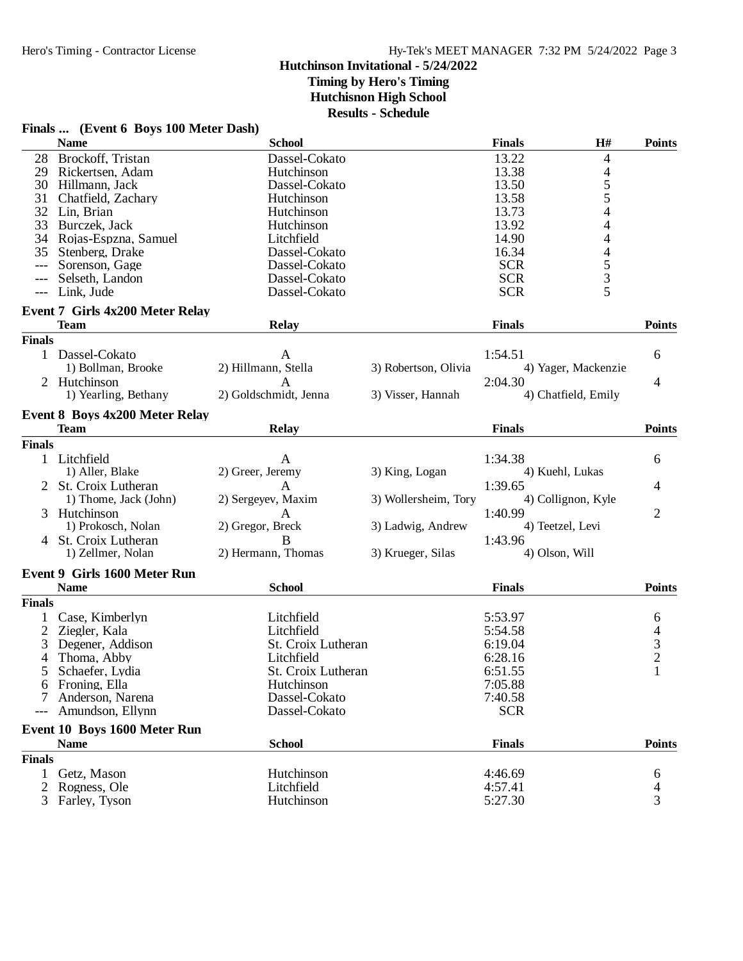## **Finals ... (Event 6 Boys 100 Meter Dash)**

|                | <b>Name</b>                                           | <b>School</b>         |                      | <b>Finals</b> | H#                       | <b>Points</b>                              |
|----------------|-------------------------------------------------------|-----------------------|----------------------|---------------|--------------------------|--------------------------------------------|
| 28             | Brockoff, Tristan                                     | Dassel-Cokato         |                      | 13.22         | 4                        |                                            |
| 29             | Rickertsen, Adam                                      | Hutchinson            |                      | 13.38         | $\overline{\mathcal{A}}$ |                                            |
| 30             | Hillmann, Jack                                        | Dassel-Cokato         |                      | 13.50         |                          |                                            |
| 31             | Chatfield, Zachary                                    | Hutchinson            |                      | 13.58         | $\frac{5}{5}$            |                                            |
| 32             | Lin, Brian                                            | Hutchinson            |                      | 13.73         | 4                        |                                            |
| 33             | Burczek, Jack                                         | Hutchinson            |                      | 13.92         | $\overline{\mathcal{L}}$ |                                            |
| 34             | Rojas-Espzna, Samuel                                  | Litchfield            |                      | 14.90         | 4                        |                                            |
| 35             | Stenberg, Drake                                       | Dassel-Cokato         |                      | 16.34         | $\overline{\mathcal{L}}$ |                                            |
| $---$          | Sorenson, Gage                                        | Dassel-Cokato         |                      | <b>SCR</b>    |                          |                                            |
|                | Selseth, Landon                                       | Dassel-Cokato         |                      | <b>SCR</b>    |                          |                                            |
| $---$          | Link, Jude                                            | Dassel-Cokato         |                      | <b>SCR</b>    | $\frac{5}{3}$            |                                            |
|                |                                                       |                       |                      |               |                          |                                            |
|                | <b>Event 7 Girls 4x200 Meter Relay</b><br><b>Team</b> | <b>Relay</b>          |                      | <b>Finals</b> |                          | <b>Points</b>                              |
|                |                                                       |                       |                      |               |                          |                                            |
| <b>Finals</b>  |                                                       |                       |                      |               |                          |                                            |
|                | 1 Dassel-Cokato                                       | A                     |                      | 1:54.51       |                          | 6                                          |
|                | 1) Bollman, Brooke                                    | 2) Hillmann, Stella   | 3) Robertson, Olivia |               | 4) Yager, Mackenzie      |                                            |
|                | 2 Hutchinson                                          | A                     |                      | 2:04.30       |                          | 4                                          |
|                | 1) Yearling, Bethany                                  | 2) Goldschmidt, Jenna | 3) Visser, Hannah    |               | 4) Chatfield, Emily      |                                            |
|                | Event 8 Boys 4x200 Meter Relay                        |                       |                      |               |                          |                                            |
|                | <b>Team</b>                                           | <b>Relay</b>          |                      | <b>Finals</b> |                          | <b>Points</b>                              |
| <b>Finals</b>  |                                                       |                       |                      |               |                          |                                            |
|                | 1 Litchfield                                          | A                     |                      | 1:34.38       |                          | 6                                          |
|                | 1) Aller, Blake                                       | 2) Greer, Jeremy      | 3) King, Logan       |               | 4) Kuehl, Lukas          |                                            |
|                | 2 St. Croix Lutheran                                  | A                     |                      | 1:39.65       |                          | $\overline{4}$                             |
|                | 1) Thome, Jack (John)                                 | 2) Sergeyev, Maxim    | 3) Wollersheim, Tory |               | 4) Collignon, Kyle       |                                            |
|                | Hutchinson                                            | A                     |                      | 1:40.99       |                          | $\overline{2}$                             |
|                | 1) Prokosch, Nolan                                    | 2) Gregor, Breck      | 3) Ladwig, Andrew    |               | 4) Teetzel, Levi         |                                            |
|                | 4 St. Croix Lutheran                                  | B                     |                      |               |                          |                                            |
|                | 1) Zellmer, Nolan                                     | 2) Hermann, Thomas    | 3) Krueger, Silas    | 1:43.96       | 4) Olson, Will           |                                            |
|                |                                                       |                       |                      |               |                          |                                            |
|                | <b>Event 9 Girls 1600 Meter Run</b>                   |                       |                      |               |                          |                                            |
|                | <b>Name</b>                                           | <b>School</b>         |                      | <b>Finals</b> |                          | <b>Points</b>                              |
| <b>Finals</b>  |                                                       |                       |                      |               |                          |                                            |
|                | Case, Kimberlyn                                       | Litchfield            |                      | 5:53.97       |                          | 6                                          |
| 2              | Ziegler, Kala                                         | Litchfield            |                      | 5:54.58       |                          |                                            |
| 3              | Degener, Addison                                      | St. Croix Lutheran    |                      | 6:19.04       |                          | $\begin{array}{c} 4 \\ 3 \\ 2 \end{array}$ |
| 4              | Thoma, Abby                                           | Litchfield            |                      | 6:28.16       |                          |                                            |
| 5              | Schaefer, Lydia                                       | St. Croix Lutheran    |                      | 6:51.55       |                          | $\mathbf{1}$                               |
|                | 6 Froning, Ella                                       | Hutchinson            |                      | 7:05.88       |                          |                                            |
| 7              | Anderson, Narena                                      | Dassel-Cokato         |                      | 7:40.58       |                          |                                            |
|                | Amundson, Ellynn                                      | Dassel-Cokato         |                      | <b>SCR</b>    |                          |                                            |
|                |                                                       |                       |                      |               |                          |                                            |
|                | Event 10 Boys 1600 Meter Run                          |                       |                      |               |                          |                                            |
|                | <b>Name</b>                                           | <b>School</b>         |                      | <b>Finals</b> |                          | <b>Points</b>                              |
| <b>Finals</b>  |                                                       |                       |                      |               |                          |                                            |
| $\mathbf{1}$   | Getz, Mason                                           | Hutchinson            |                      | 4:46.69       |                          | 6                                          |
| $\overline{2}$ | Rogness, Ole                                          | Litchfield            |                      | 4:57.41       |                          | 4                                          |
| 3              | Farley, Tyson                                         | Hutchinson            |                      | 5:27.30       |                          | 3                                          |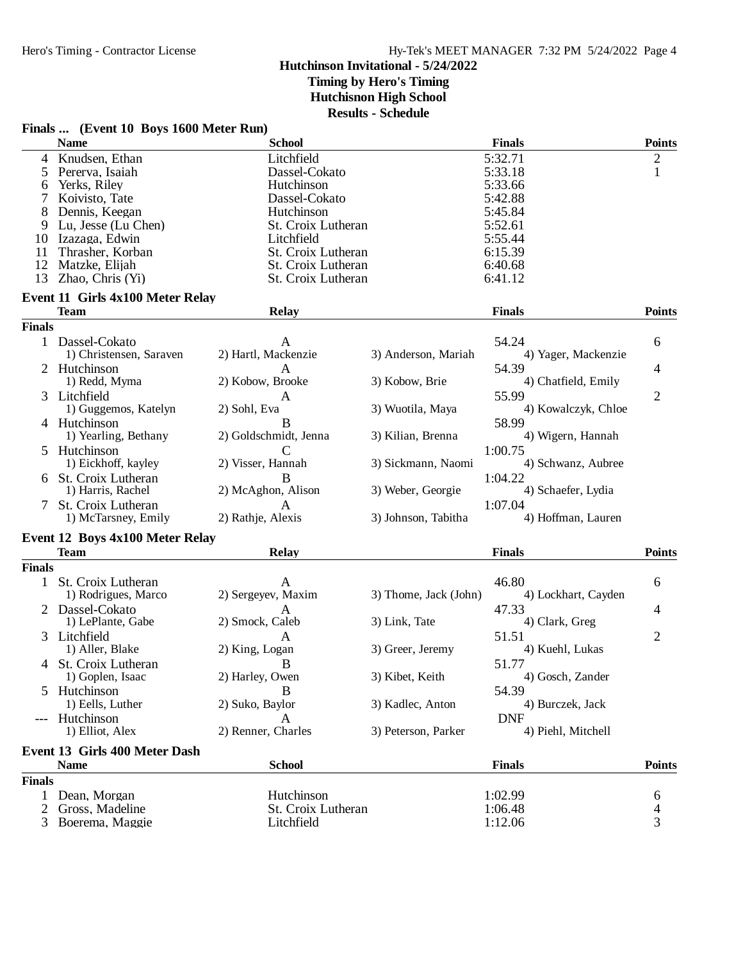## **Hutchinson Invitational - 5/24/2022 Timing by Hero's Timing Hutchisnon High School**

**Results - Schedule**

| 4 Knudsen, Ethan<br>5:32.71<br>2<br>Litchfield<br>5:33.18<br>$\mathbf{1}$<br>Pererva, Isaiah<br>Dassel-Cokato<br>5<br>Yerks, Riley<br>5:33.66<br>Hutchinson<br>6<br>7<br>Koivisto, Tate<br>Dassel-Cokato<br>5:42.88<br>8<br>Dennis, Keegan<br>Hutchinson<br>5:45.84<br>5:52.61<br>9<br>Lu, Jesse (Lu Chen)<br>St. Croix Lutheran<br>5:55.44<br>Izazaga, Edwin<br>Litchfield<br>10<br>Thrasher, Korban<br>St. Croix Lutheran<br>6:15.39<br>11<br>6:40.68<br>12<br>Matzke, Elijah<br>St. Croix Lutheran<br>13<br>Zhao, Chris (Yi)<br>St. Croix Lutheran<br>6:41.12<br><b>Event 11 Girls 4x100 Meter Relay</b><br><b>Team</b><br><b>Relay</b><br><b>Finals</b><br><b>Finals</b><br>54.24<br>6<br>1 Dassel-Cokato<br>A<br>2) Hartl, Mackenzie<br>1) Christensen, Saraven<br>3) Anderson, Mariah<br>4) Yager, Mackenzie<br>2 Hutchinson<br>54.39<br>A<br>4<br>1) Redd, Myma<br>2) Kobow, Brooke<br>3) Kobow, Brie<br>4) Chatfield, Emily<br>3 Litchfield<br>55.99<br>$\overline{2}$<br>A<br>1) Guggemos, Katelyn<br>3) Wuotila, Maya<br>4) Kowalczyk, Chloe<br>2) Sohl, Eva<br>58.99<br>4 Hutchinson<br>B<br>1) Yearling, Bethany<br>2) Goldschmidt, Jenna<br>3) Kilian, Brenna<br>4) Wigern, Hannah<br>5 Hutchinson<br>1:00.75<br>C<br>1) Eickhoff, kayley<br>2) Visser, Hannah<br>3) Sickmann, Naomi<br>4) Schwanz, Aubree<br>6 St. Croix Lutheran<br>B<br>1:04.22<br>2) McAghon, Alison<br>1) Harris, Rachel<br>3) Weber, Georgie<br>4) Schaefer, Lydia<br>1:07.04<br>7 St. Croix Lutheran<br>A<br>2) Rathje, Alexis<br>4) Hoffman, Lauren<br>1) McTarsney, Emily<br>3) Johnson, Tabitha<br>Event 12 Boys 4x100 Meter Relay<br><b>Team</b><br><b>Finals</b><br><b>Relay</b><br><b>Finals</b><br>46.80<br>1 St. Croix Lutheran<br>6<br>A<br>1) Rodrigues, Marco<br>2) Sergeyev, Maxim<br>3) Thome, Jack (John)<br>4) Lockhart, Cayden<br>2 Dassel-Cokato<br>47.33<br>$\mathsf{A}$<br>4<br>1) LePlante, Gabe<br>2) Smock, Caleb<br>3) Link, Tate<br>4) Clark, Greg<br>$\overline{2}$<br>3 Litchfield<br>51.51<br>A<br>4) Kuehl, Lukas<br>1) Aller, Blake<br>2) King, Logan<br>3) Greer, Jeremy<br>51.77<br>4 St. Croix Lutheran<br>B<br>1) Goplen, Isaac<br>3) Kibet, Keith<br>4) Gosch, Zander<br>2) Harley, Owen<br>Hutchinson<br>B<br>54.39<br>5<br>1) Eells, Luther<br>2) Suko, Baylor<br>3) Kadlec, Anton<br>4) Burczek, Jack<br>Hutchinson<br><b>DNF</b><br>A<br>1) Elliot, Alex<br>2) Renner, Charles<br>3) Peterson, Parker<br>4) Piehl, Mitchell<br>Event 13 Girls 400 Meter Dash<br><b>Name</b><br><b>School</b><br><b>Finals</b><br><b>Finals</b><br>Hutchinson<br>Dean, Morgan<br>1:02.99<br>1<br>6<br>Gross, Madeline<br>St. Croix Lutheran<br>1:06.48<br>2<br>4<br>3<br>1:12.06<br>Boerema, Maggie<br>Litchfield<br>3 | Finals  (Event 10 Boys 1600 Meter Run) |               |               |               |
|---------------------------------------------------------------------------------------------------------------------------------------------------------------------------------------------------------------------------------------------------------------------------------------------------------------------------------------------------------------------------------------------------------------------------------------------------------------------------------------------------------------------------------------------------------------------------------------------------------------------------------------------------------------------------------------------------------------------------------------------------------------------------------------------------------------------------------------------------------------------------------------------------------------------------------------------------------------------------------------------------------------------------------------------------------------------------------------------------------------------------------------------------------------------------------------------------------------------------------------------------------------------------------------------------------------------------------------------------------------------------------------------------------------------------------------------------------------------------------------------------------------------------------------------------------------------------------------------------------------------------------------------------------------------------------------------------------------------------------------------------------------------------------------------------------------------------------------------------------------------------------------------------------------------------------------------------------------------------------------------------------------------------------------------------------------------------------------------------------------------------------------------------------------------------------------------------------------------------------------------------------------------------------------------------------------------------------------------------------------------------------------------------------------------------------------------------------------------------------------------------------------------------------------------------------------------------------------------------------------------------------------------------------------------------------------------------------------------------------|----------------------------------------|---------------|---------------|---------------|
|                                                                                                                                                                                                                                                                                                                                                                                                                                                                                                                                                                                                                                                                                                                                                                                                                                                                                                                                                                                                                                                                                                                                                                                                                                                                                                                                                                                                                                                                                                                                                                                                                                                                                                                                                                                                                                                                                                                                                                                                                                                                                                                                                                                                                                                                                                                                                                                                                                                                                                                                                                                                                                                                                                                                 | <b>Name</b>                            | <b>School</b> | <b>Finals</b> | <b>Points</b> |
|                                                                                                                                                                                                                                                                                                                                                                                                                                                                                                                                                                                                                                                                                                                                                                                                                                                                                                                                                                                                                                                                                                                                                                                                                                                                                                                                                                                                                                                                                                                                                                                                                                                                                                                                                                                                                                                                                                                                                                                                                                                                                                                                                                                                                                                                                                                                                                                                                                                                                                                                                                                                                                                                                                                                 |                                        |               |               |               |
|                                                                                                                                                                                                                                                                                                                                                                                                                                                                                                                                                                                                                                                                                                                                                                                                                                                                                                                                                                                                                                                                                                                                                                                                                                                                                                                                                                                                                                                                                                                                                                                                                                                                                                                                                                                                                                                                                                                                                                                                                                                                                                                                                                                                                                                                                                                                                                                                                                                                                                                                                                                                                                                                                                                                 |                                        |               |               |               |
|                                                                                                                                                                                                                                                                                                                                                                                                                                                                                                                                                                                                                                                                                                                                                                                                                                                                                                                                                                                                                                                                                                                                                                                                                                                                                                                                                                                                                                                                                                                                                                                                                                                                                                                                                                                                                                                                                                                                                                                                                                                                                                                                                                                                                                                                                                                                                                                                                                                                                                                                                                                                                                                                                                                                 |                                        |               |               |               |
|                                                                                                                                                                                                                                                                                                                                                                                                                                                                                                                                                                                                                                                                                                                                                                                                                                                                                                                                                                                                                                                                                                                                                                                                                                                                                                                                                                                                                                                                                                                                                                                                                                                                                                                                                                                                                                                                                                                                                                                                                                                                                                                                                                                                                                                                                                                                                                                                                                                                                                                                                                                                                                                                                                                                 |                                        |               |               |               |
|                                                                                                                                                                                                                                                                                                                                                                                                                                                                                                                                                                                                                                                                                                                                                                                                                                                                                                                                                                                                                                                                                                                                                                                                                                                                                                                                                                                                                                                                                                                                                                                                                                                                                                                                                                                                                                                                                                                                                                                                                                                                                                                                                                                                                                                                                                                                                                                                                                                                                                                                                                                                                                                                                                                                 |                                        |               |               |               |
|                                                                                                                                                                                                                                                                                                                                                                                                                                                                                                                                                                                                                                                                                                                                                                                                                                                                                                                                                                                                                                                                                                                                                                                                                                                                                                                                                                                                                                                                                                                                                                                                                                                                                                                                                                                                                                                                                                                                                                                                                                                                                                                                                                                                                                                                                                                                                                                                                                                                                                                                                                                                                                                                                                                                 |                                        |               |               |               |
|                                                                                                                                                                                                                                                                                                                                                                                                                                                                                                                                                                                                                                                                                                                                                                                                                                                                                                                                                                                                                                                                                                                                                                                                                                                                                                                                                                                                                                                                                                                                                                                                                                                                                                                                                                                                                                                                                                                                                                                                                                                                                                                                                                                                                                                                                                                                                                                                                                                                                                                                                                                                                                                                                                                                 |                                        |               |               |               |
|                                                                                                                                                                                                                                                                                                                                                                                                                                                                                                                                                                                                                                                                                                                                                                                                                                                                                                                                                                                                                                                                                                                                                                                                                                                                                                                                                                                                                                                                                                                                                                                                                                                                                                                                                                                                                                                                                                                                                                                                                                                                                                                                                                                                                                                                                                                                                                                                                                                                                                                                                                                                                                                                                                                                 |                                        |               |               |               |
|                                                                                                                                                                                                                                                                                                                                                                                                                                                                                                                                                                                                                                                                                                                                                                                                                                                                                                                                                                                                                                                                                                                                                                                                                                                                                                                                                                                                                                                                                                                                                                                                                                                                                                                                                                                                                                                                                                                                                                                                                                                                                                                                                                                                                                                                                                                                                                                                                                                                                                                                                                                                                                                                                                                                 |                                        |               |               |               |
|                                                                                                                                                                                                                                                                                                                                                                                                                                                                                                                                                                                                                                                                                                                                                                                                                                                                                                                                                                                                                                                                                                                                                                                                                                                                                                                                                                                                                                                                                                                                                                                                                                                                                                                                                                                                                                                                                                                                                                                                                                                                                                                                                                                                                                                                                                                                                                                                                                                                                                                                                                                                                                                                                                                                 |                                        |               |               |               |
|                                                                                                                                                                                                                                                                                                                                                                                                                                                                                                                                                                                                                                                                                                                                                                                                                                                                                                                                                                                                                                                                                                                                                                                                                                                                                                                                                                                                                                                                                                                                                                                                                                                                                                                                                                                                                                                                                                                                                                                                                                                                                                                                                                                                                                                                                                                                                                                                                                                                                                                                                                                                                                                                                                                                 |                                        |               |               |               |
|                                                                                                                                                                                                                                                                                                                                                                                                                                                                                                                                                                                                                                                                                                                                                                                                                                                                                                                                                                                                                                                                                                                                                                                                                                                                                                                                                                                                                                                                                                                                                                                                                                                                                                                                                                                                                                                                                                                                                                                                                                                                                                                                                                                                                                                                                                                                                                                                                                                                                                                                                                                                                                                                                                                                 |                                        |               |               | <b>Points</b> |
|                                                                                                                                                                                                                                                                                                                                                                                                                                                                                                                                                                                                                                                                                                                                                                                                                                                                                                                                                                                                                                                                                                                                                                                                                                                                                                                                                                                                                                                                                                                                                                                                                                                                                                                                                                                                                                                                                                                                                                                                                                                                                                                                                                                                                                                                                                                                                                                                                                                                                                                                                                                                                                                                                                                                 |                                        |               |               |               |
|                                                                                                                                                                                                                                                                                                                                                                                                                                                                                                                                                                                                                                                                                                                                                                                                                                                                                                                                                                                                                                                                                                                                                                                                                                                                                                                                                                                                                                                                                                                                                                                                                                                                                                                                                                                                                                                                                                                                                                                                                                                                                                                                                                                                                                                                                                                                                                                                                                                                                                                                                                                                                                                                                                                                 |                                        |               |               |               |
|                                                                                                                                                                                                                                                                                                                                                                                                                                                                                                                                                                                                                                                                                                                                                                                                                                                                                                                                                                                                                                                                                                                                                                                                                                                                                                                                                                                                                                                                                                                                                                                                                                                                                                                                                                                                                                                                                                                                                                                                                                                                                                                                                                                                                                                                                                                                                                                                                                                                                                                                                                                                                                                                                                                                 |                                        |               |               |               |
|                                                                                                                                                                                                                                                                                                                                                                                                                                                                                                                                                                                                                                                                                                                                                                                                                                                                                                                                                                                                                                                                                                                                                                                                                                                                                                                                                                                                                                                                                                                                                                                                                                                                                                                                                                                                                                                                                                                                                                                                                                                                                                                                                                                                                                                                                                                                                                                                                                                                                                                                                                                                                                                                                                                                 |                                        |               |               |               |
|                                                                                                                                                                                                                                                                                                                                                                                                                                                                                                                                                                                                                                                                                                                                                                                                                                                                                                                                                                                                                                                                                                                                                                                                                                                                                                                                                                                                                                                                                                                                                                                                                                                                                                                                                                                                                                                                                                                                                                                                                                                                                                                                                                                                                                                                                                                                                                                                                                                                                                                                                                                                                                                                                                                                 |                                        |               |               |               |
|                                                                                                                                                                                                                                                                                                                                                                                                                                                                                                                                                                                                                                                                                                                                                                                                                                                                                                                                                                                                                                                                                                                                                                                                                                                                                                                                                                                                                                                                                                                                                                                                                                                                                                                                                                                                                                                                                                                                                                                                                                                                                                                                                                                                                                                                                                                                                                                                                                                                                                                                                                                                                                                                                                                                 |                                        |               |               |               |
|                                                                                                                                                                                                                                                                                                                                                                                                                                                                                                                                                                                                                                                                                                                                                                                                                                                                                                                                                                                                                                                                                                                                                                                                                                                                                                                                                                                                                                                                                                                                                                                                                                                                                                                                                                                                                                                                                                                                                                                                                                                                                                                                                                                                                                                                                                                                                                                                                                                                                                                                                                                                                                                                                                                                 |                                        |               |               |               |
|                                                                                                                                                                                                                                                                                                                                                                                                                                                                                                                                                                                                                                                                                                                                                                                                                                                                                                                                                                                                                                                                                                                                                                                                                                                                                                                                                                                                                                                                                                                                                                                                                                                                                                                                                                                                                                                                                                                                                                                                                                                                                                                                                                                                                                                                                                                                                                                                                                                                                                                                                                                                                                                                                                                                 |                                        |               |               |               |
|                                                                                                                                                                                                                                                                                                                                                                                                                                                                                                                                                                                                                                                                                                                                                                                                                                                                                                                                                                                                                                                                                                                                                                                                                                                                                                                                                                                                                                                                                                                                                                                                                                                                                                                                                                                                                                                                                                                                                                                                                                                                                                                                                                                                                                                                                                                                                                                                                                                                                                                                                                                                                                                                                                                                 |                                        |               |               |               |
|                                                                                                                                                                                                                                                                                                                                                                                                                                                                                                                                                                                                                                                                                                                                                                                                                                                                                                                                                                                                                                                                                                                                                                                                                                                                                                                                                                                                                                                                                                                                                                                                                                                                                                                                                                                                                                                                                                                                                                                                                                                                                                                                                                                                                                                                                                                                                                                                                                                                                                                                                                                                                                                                                                                                 |                                        |               |               |               |
|                                                                                                                                                                                                                                                                                                                                                                                                                                                                                                                                                                                                                                                                                                                                                                                                                                                                                                                                                                                                                                                                                                                                                                                                                                                                                                                                                                                                                                                                                                                                                                                                                                                                                                                                                                                                                                                                                                                                                                                                                                                                                                                                                                                                                                                                                                                                                                                                                                                                                                                                                                                                                                                                                                                                 |                                        |               |               |               |
|                                                                                                                                                                                                                                                                                                                                                                                                                                                                                                                                                                                                                                                                                                                                                                                                                                                                                                                                                                                                                                                                                                                                                                                                                                                                                                                                                                                                                                                                                                                                                                                                                                                                                                                                                                                                                                                                                                                                                                                                                                                                                                                                                                                                                                                                                                                                                                                                                                                                                                                                                                                                                                                                                                                                 |                                        |               |               |               |
|                                                                                                                                                                                                                                                                                                                                                                                                                                                                                                                                                                                                                                                                                                                                                                                                                                                                                                                                                                                                                                                                                                                                                                                                                                                                                                                                                                                                                                                                                                                                                                                                                                                                                                                                                                                                                                                                                                                                                                                                                                                                                                                                                                                                                                                                                                                                                                                                                                                                                                                                                                                                                                                                                                                                 |                                        |               |               |               |
|                                                                                                                                                                                                                                                                                                                                                                                                                                                                                                                                                                                                                                                                                                                                                                                                                                                                                                                                                                                                                                                                                                                                                                                                                                                                                                                                                                                                                                                                                                                                                                                                                                                                                                                                                                                                                                                                                                                                                                                                                                                                                                                                                                                                                                                                                                                                                                                                                                                                                                                                                                                                                                                                                                                                 |                                        |               |               |               |
|                                                                                                                                                                                                                                                                                                                                                                                                                                                                                                                                                                                                                                                                                                                                                                                                                                                                                                                                                                                                                                                                                                                                                                                                                                                                                                                                                                                                                                                                                                                                                                                                                                                                                                                                                                                                                                                                                                                                                                                                                                                                                                                                                                                                                                                                                                                                                                                                                                                                                                                                                                                                                                                                                                                                 |                                        |               |               |               |
|                                                                                                                                                                                                                                                                                                                                                                                                                                                                                                                                                                                                                                                                                                                                                                                                                                                                                                                                                                                                                                                                                                                                                                                                                                                                                                                                                                                                                                                                                                                                                                                                                                                                                                                                                                                                                                                                                                                                                                                                                                                                                                                                                                                                                                                                                                                                                                                                                                                                                                                                                                                                                                                                                                                                 |                                        |               |               |               |
|                                                                                                                                                                                                                                                                                                                                                                                                                                                                                                                                                                                                                                                                                                                                                                                                                                                                                                                                                                                                                                                                                                                                                                                                                                                                                                                                                                                                                                                                                                                                                                                                                                                                                                                                                                                                                                                                                                                                                                                                                                                                                                                                                                                                                                                                                                                                                                                                                                                                                                                                                                                                                                                                                                                                 |                                        |               |               |               |
|                                                                                                                                                                                                                                                                                                                                                                                                                                                                                                                                                                                                                                                                                                                                                                                                                                                                                                                                                                                                                                                                                                                                                                                                                                                                                                                                                                                                                                                                                                                                                                                                                                                                                                                                                                                                                                                                                                                                                                                                                                                                                                                                                                                                                                                                                                                                                                                                                                                                                                                                                                                                                                                                                                                                 |                                        |               |               | <b>Points</b> |
|                                                                                                                                                                                                                                                                                                                                                                                                                                                                                                                                                                                                                                                                                                                                                                                                                                                                                                                                                                                                                                                                                                                                                                                                                                                                                                                                                                                                                                                                                                                                                                                                                                                                                                                                                                                                                                                                                                                                                                                                                                                                                                                                                                                                                                                                                                                                                                                                                                                                                                                                                                                                                                                                                                                                 |                                        |               |               |               |
|                                                                                                                                                                                                                                                                                                                                                                                                                                                                                                                                                                                                                                                                                                                                                                                                                                                                                                                                                                                                                                                                                                                                                                                                                                                                                                                                                                                                                                                                                                                                                                                                                                                                                                                                                                                                                                                                                                                                                                                                                                                                                                                                                                                                                                                                                                                                                                                                                                                                                                                                                                                                                                                                                                                                 |                                        |               |               |               |
|                                                                                                                                                                                                                                                                                                                                                                                                                                                                                                                                                                                                                                                                                                                                                                                                                                                                                                                                                                                                                                                                                                                                                                                                                                                                                                                                                                                                                                                                                                                                                                                                                                                                                                                                                                                                                                                                                                                                                                                                                                                                                                                                                                                                                                                                                                                                                                                                                                                                                                                                                                                                                                                                                                                                 |                                        |               |               |               |
|                                                                                                                                                                                                                                                                                                                                                                                                                                                                                                                                                                                                                                                                                                                                                                                                                                                                                                                                                                                                                                                                                                                                                                                                                                                                                                                                                                                                                                                                                                                                                                                                                                                                                                                                                                                                                                                                                                                                                                                                                                                                                                                                                                                                                                                                                                                                                                                                                                                                                                                                                                                                                                                                                                                                 |                                        |               |               |               |
|                                                                                                                                                                                                                                                                                                                                                                                                                                                                                                                                                                                                                                                                                                                                                                                                                                                                                                                                                                                                                                                                                                                                                                                                                                                                                                                                                                                                                                                                                                                                                                                                                                                                                                                                                                                                                                                                                                                                                                                                                                                                                                                                                                                                                                                                                                                                                                                                                                                                                                                                                                                                                                                                                                                                 |                                        |               |               |               |
|                                                                                                                                                                                                                                                                                                                                                                                                                                                                                                                                                                                                                                                                                                                                                                                                                                                                                                                                                                                                                                                                                                                                                                                                                                                                                                                                                                                                                                                                                                                                                                                                                                                                                                                                                                                                                                                                                                                                                                                                                                                                                                                                                                                                                                                                                                                                                                                                                                                                                                                                                                                                                                                                                                                                 |                                        |               |               |               |
|                                                                                                                                                                                                                                                                                                                                                                                                                                                                                                                                                                                                                                                                                                                                                                                                                                                                                                                                                                                                                                                                                                                                                                                                                                                                                                                                                                                                                                                                                                                                                                                                                                                                                                                                                                                                                                                                                                                                                                                                                                                                                                                                                                                                                                                                                                                                                                                                                                                                                                                                                                                                                                                                                                                                 |                                        |               |               |               |
|                                                                                                                                                                                                                                                                                                                                                                                                                                                                                                                                                                                                                                                                                                                                                                                                                                                                                                                                                                                                                                                                                                                                                                                                                                                                                                                                                                                                                                                                                                                                                                                                                                                                                                                                                                                                                                                                                                                                                                                                                                                                                                                                                                                                                                                                                                                                                                                                                                                                                                                                                                                                                                                                                                                                 |                                        |               |               |               |
|                                                                                                                                                                                                                                                                                                                                                                                                                                                                                                                                                                                                                                                                                                                                                                                                                                                                                                                                                                                                                                                                                                                                                                                                                                                                                                                                                                                                                                                                                                                                                                                                                                                                                                                                                                                                                                                                                                                                                                                                                                                                                                                                                                                                                                                                                                                                                                                                                                                                                                                                                                                                                                                                                                                                 |                                        |               |               |               |
|                                                                                                                                                                                                                                                                                                                                                                                                                                                                                                                                                                                                                                                                                                                                                                                                                                                                                                                                                                                                                                                                                                                                                                                                                                                                                                                                                                                                                                                                                                                                                                                                                                                                                                                                                                                                                                                                                                                                                                                                                                                                                                                                                                                                                                                                                                                                                                                                                                                                                                                                                                                                                                                                                                                                 |                                        |               |               |               |
|                                                                                                                                                                                                                                                                                                                                                                                                                                                                                                                                                                                                                                                                                                                                                                                                                                                                                                                                                                                                                                                                                                                                                                                                                                                                                                                                                                                                                                                                                                                                                                                                                                                                                                                                                                                                                                                                                                                                                                                                                                                                                                                                                                                                                                                                                                                                                                                                                                                                                                                                                                                                                                                                                                                                 |                                        |               |               |               |
|                                                                                                                                                                                                                                                                                                                                                                                                                                                                                                                                                                                                                                                                                                                                                                                                                                                                                                                                                                                                                                                                                                                                                                                                                                                                                                                                                                                                                                                                                                                                                                                                                                                                                                                                                                                                                                                                                                                                                                                                                                                                                                                                                                                                                                                                                                                                                                                                                                                                                                                                                                                                                                                                                                                                 |                                        |               |               |               |
|                                                                                                                                                                                                                                                                                                                                                                                                                                                                                                                                                                                                                                                                                                                                                                                                                                                                                                                                                                                                                                                                                                                                                                                                                                                                                                                                                                                                                                                                                                                                                                                                                                                                                                                                                                                                                                                                                                                                                                                                                                                                                                                                                                                                                                                                                                                                                                                                                                                                                                                                                                                                                                                                                                                                 |                                        |               |               |               |
|                                                                                                                                                                                                                                                                                                                                                                                                                                                                                                                                                                                                                                                                                                                                                                                                                                                                                                                                                                                                                                                                                                                                                                                                                                                                                                                                                                                                                                                                                                                                                                                                                                                                                                                                                                                                                                                                                                                                                                                                                                                                                                                                                                                                                                                                                                                                                                                                                                                                                                                                                                                                                                                                                                                                 |                                        |               |               |               |
|                                                                                                                                                                                                                                                                                                                                                                                                                                                                                                                                                                                                                                                                                                                                                                                                                                                                                                                                                                                                                                                                                                                                                                                                                                                                                                                                                                                                                                                                                                                                                                                                                                                                                                                                                                                                                                                                                                                                                                                                                                                                                                                                                                                                                                                                                                                                                                                                                                                                                                                                                                                                                                                                                                                                 |                                        |               |               |               |
|                                                                                                                                                                                                                                                                                                                                                                                                                                                                                                                                                                                                                                                                                                                                                                                                                                                                                                                                                                                                                                                                                                                                                                                                                                                                                                                                                                                                                                                                                                                                                                                                                                                                                                                                                                                                                                                                                                                                                                                                                                                                                                                                                                                                                                                                                                                                                                                                                                                                                                                                                                                                                                                                                                                                 |                                        |               |               | <b>Points</b> |
|                                                                                                                                                                                                                                                                                                                                                                                                                                                                                                                                                                                                                                                                                                                                                                                                                                                                                                                                                                                                                                                                                                                                                                                                                                                                                                                                                                                                                                                                                                                                                                                                                                                                                                                                                                                                                                                                                                                                                                                                                                                                                                                                                                                                                                                                                                                                                                                                                                                                                                                                                                                                                                                                                                                                 |                                        |               |               |               |
|                                                                                                                                                                                                                                                                                                                                                                                                                                                                                                                                                                                                                                                                                                                                                                                                                                                                                                                                                                                                                                                                                                                                                                                                                                                                                                                                                                                                                                                                                                                                                                                                                                                                                                                                                                                                                                                                                                                                                                                                                                                                                                                                                                                                                                                                                                                                                                                                                                                                                                                                                                                                                                                                                                                                 |                                        |               |               |               |
|                                                                                                                                                                                                                                                                                                                                                                                                                                                                                                                                                                                                                                                                                                                                                                                                                                                                                                                                                                                                                                                                                                                                                                                                                                                                                                                                                                                                                                                                                                                                                                                                                                                                                                                                                                                                                                                                                                                                                                                                                                                                                                                                                                                                                                                                                                                                                                                                                                                                                                                                                                                                                                                                                                                                 |                                        |               |               |               |
|                                                                                                                                                                                                                                                                                                                                                                                                                                                                                                                                                                                                                                                                                                                                                                                                                                                                                                                                                                                                                                                                                                                                                                                                                                                                                                                                                                                                                                                                                                                                                                                                                                                                                                                                                                                                                                                                                                                                                                                                                                                                                                                                                                                                                                                                                                                                                                                                                                                                                                                                                                                                                                                                                                                                 |                                        |               |               |               |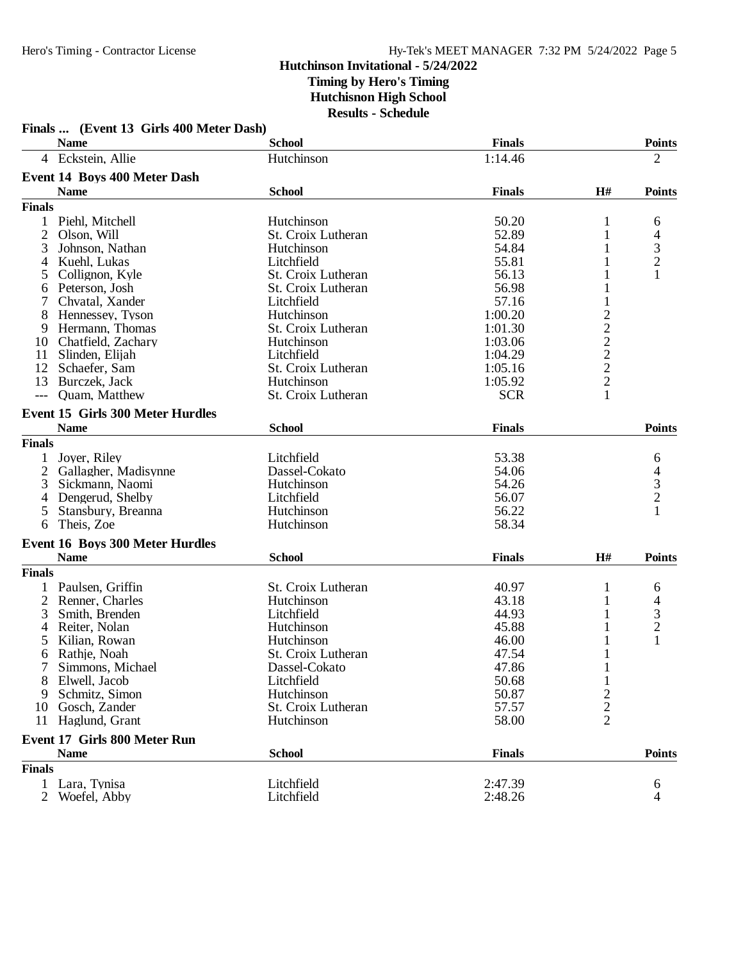|                | <b>Name</b>                             | <b>School</b>      | <b>Finals</b> |                 | <b>Points</b>                              |
|----------------|-----------------------------------------|--------------------|---------------|-----------------|--------------------------------------------|
|                | 4 Eckstein, Allie                       | Hutchinson         | 1:14.46       |                 | $\overline{2}$                             |
|                | <b>Event 14 Boys 400 Meter Dash</b>     |                    |               |                 |                                            |
|                | <b>Name</b>                             | <b>School</b>      | <b>Finals</b> | H#              | <b>Points</b>                              |
| <b>Finals</b>  |                                         |                    |               |                 |                                            |
| 1              | Piehl, Mitchell                         | Hutchinson         | 50.20         | 1               | 6                                          |
| $\mathbf{2}$   | Olson, Will                             | St. Croix Lutheran | 52.89         | 1               | 4                                          |
| 3              | Johnson, Nathan                         | Hutchinson         | 54.84         | 1               | $\frac{3}{2}$                              |
| 4              | Kuehl, Lukas                            | Litchfield         | 55.81         |                 |                                            |
| 5              | Collignon, Kyle                         | St. Croix Lutheran | 56.13         |                 |                                            |
| 6              | Peterson, Josh                          | St. Croix Lutheran | 56.98         |                 |                                            |
|                | Chvatal, Xander                         | Litchfield         | 57.16         |                 |                                            |
| 8              | Hennessey, Tyson                        | Hutchinson         | 1:00.20       |                 |                                            |
| 9              | Hermann, Thomas                         | St. Croix Lutheran | 1:01.30       |                 |                                            |
|                | 10 Chatfield, Zachary                   | Hutchinson         | 1:03.06       |                 |                                            |
| 11             | Slinden, Elijah                         | Litchfield         | 1:04.29       | $2222$<br>$222$ |                                            |
|                | 12 Schaefer, Sam                        | St. Croix Lutheran | 1:05.16       |                 |                                            |
| 13             | Burczek, Jack                           | Hutchinson         | 1:05.92       |                 |                                            |
| $---$          | Quam, Matthew                           | St. Croix Lutheran | <b>SCR</b>    |                 |                                            |
|                | <b>Event 15 Girls 300 Meter Hurdles</b> |                    |               |                 |                                            |
|                | <b>Name</b>                             | <b>School</b>      | <b>Finals</b> |                 | <b>Points</b>                              |
| <b>Finals</b>  |                                         |                    |               |                 |                                            |
| 1              | Joyer, Riley                            | Litchfield         | 53.38         |                 | 6                                          |
|                | 2 Gallagher, Madisynne                  | Dassel-Cokato      | 54.06         |                 |                                            |
| 3              | Sickmann, Naomi                         | Hutchinson         | 54.26         |                 | $\begin{array}{c} 4 \\ 3 \\ 2 \end{array}$ |
| 4              | Dengerud, Shelby                        | Litchfield         | 56.07         |                 |                                            |
| 5              | Stansbury, Breanna                      | Hutchinson         | 56.22         |                 |                                            |
| 6              | Theis, Zoe                              | Hutchinson         | 58.34         |                 |                                            |
|                | <b>Event 16 Boys 300 Meter Hurdles</b>  |                    |               |                 |                                            |
|                | <b>Name</b>                             | <b>School</b>      | <b>Finals</b> | H#              | <b>Points</b>                              |
| <b>Finals</b>  |                                         |                    |               |                 |                                            |
| 1              | Paulsen, Griffin                        | St. Croix Lutheran | 40.97         | 1               | 6                                          |
| $\overline{2}$ | Renner, Charles                         | Hutchinson         | 43.18         |                 | 4                                          |
| 3              | Smith, Brenden                          | Litchfield         | 44.93         | 1               |                                            |
| 4              | Reiter, Nolan                           | Hutchinson         | 45.88         | 1               | $\frac{3}{2}$                              |
| 5              | Kilian, Rowan                           | Hutchinson         | 46.00         | 1               | $\mathbf{1}$                               |
| 6              | Rathje, Noah                            | St. Croix Lutheran | 47.54         | $\mathbf{1}$    |                                            |
| 7              | Simmons, Michael                        | Dassel-Cokato      | 47.86         | 1               |                                            |
|                | 8 Elwell, Jacob                         | Litchfield         | 50.68         | 1               |                                            |
| 9              | Schmitz, Simon                          | Hutchinson         | 50.87         | $\frac{2}{2}$   |                                            |
| 10             | Gosch, Zander                           | St. Croix Lutheran | 57.57         |                 |                                            |
| 11             | Haglund, Grant                          | Hutchinson         | 58.00         | $\overline{2}$  |                                            |
|                | <b>Event 17 Girls 800 Meter Run</b>     |                    |               |                 |                                            |
|                | <b>Name</b>                             | <b>School</b>      | <b>Finals</b> |                 | <b>Points</b>                              |
| <b>Finals</b>  |                                         |                    |               |                 |                                            |
| 1              | Lara, Tynisa                            | Litchfield         | 2:47.39       |                 | 6                                          |
| $\overline{2}$ | Woefel, Abby                            | Litchfield         | 2:48.26       |                 | 4                                          |

# **Finals ... (Event 13 Girls 400 Meter Dash)**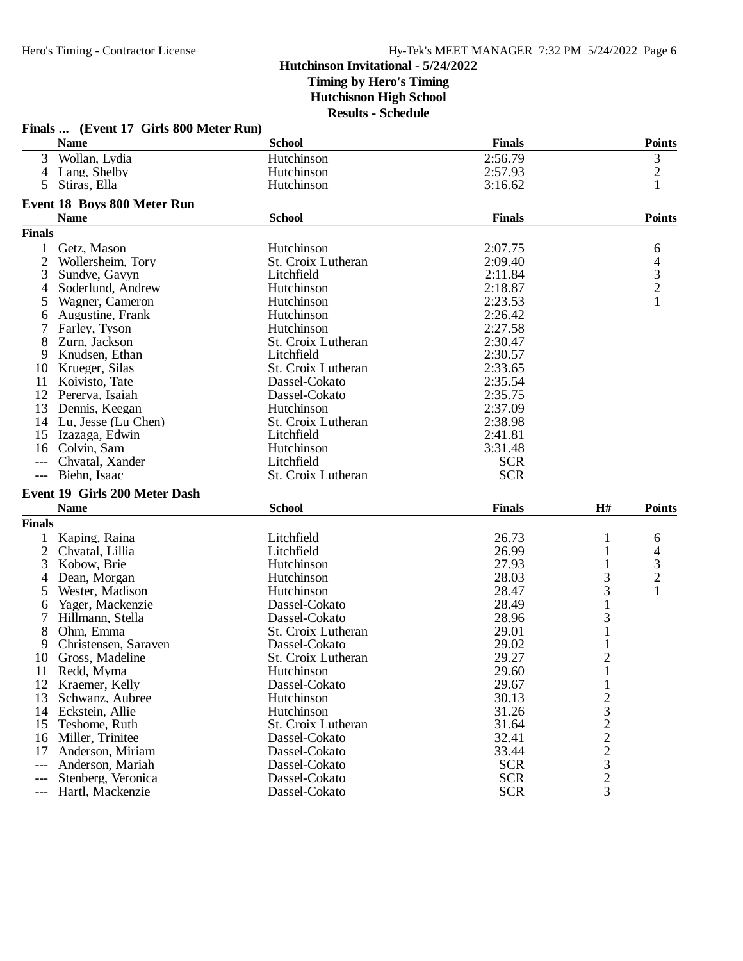|                | Finals  (Event 17 Girls 800 Meter Run) |                    |               |                                                 |                |
|----------------|----------------------------------------|--------------------|---------------|-------------------------------------------------|----------------|
|                | <b>Name</b>                            | <b>School</b>      | <b>Finals</b> |                                                 | <b>Points</b>  |
| 3              | Wollan, Lydia                          | Hutchinson         | 2:56.79       |                                                 | 3              |
| $\overline{4}$ | Lang, Shelby                           | Hutchinson         | 2:57.93       |                                                 | $\overline{c}$ |
| 5              | Stiras, Ella                           | Hutchinson         | 3:16.62       |                                                 | 1              |
|                | Event 18 Boys 800 Meter Run            |                    |               |                                                 |                |
|                | <b>Name</b>                            | <b>School</b>      | <b>Finals</b> |                                                 | <b>Points</b>  |
| <b>Finals</b>  |                                        |                    |               |                                                 |                |
| 1              | Getz, Mason                            | Hutchinson         | 2:07.75       |                                                 | 6              |
| $\overline{2}$ | Wollersheim, Tory                      | St. Croix Lutheran | 2:09.40       |                                                 | 4              |
| 3              | Sundve, Gavyn                          | Litchfield         | 2:11.84       |                                                 | $\frac{3}{2}$  |
| 4              | Soderlund, Andrew                      | Hutchinson         | 2:18.87       |                                                 |                |
| $\mathfrak{H}$ | Wagner, Cameron                        | Hutchinson         | 2:23.53       |                                                 | $\mathbf{1}$   |
| 6              | Augustine, Frank                       | Hutchinson         | 2:26.42       |                                                 |                |
|                | Farley, Tyson                          | Hutchinson         | 2:27.58       |                                                 |                |
| 8              | Zurn, Jackson                          | St. Croix Lutheran | 2:30.47       |                                                 |                |
| 9              | Knudsen, Ethan                         | Litchfield         | 2:30.57       |                                                 |                |
| 10             | Krueger, Silas                         | St. Croix Lutheran | 2:33.65       |                                                 |                |
| 11             | Koivisto, Tate                         | Dassel-Cokato      | 2:35.54       |                                                 |                |
| 12             | Pererva, Isaiah                        | Dassel-Cokato      | 2:35.75       |                                                 |                |
| 13             | Dennis, Keegan                         | Hutchinson         | 2:37.09       |                                                 |                |
|                | 14 Lu, Jesse (Lu Chen)                 | St. Croix Lutheran | 2:38.98       |                                                 |                |
| 15             | Izazaga, Edwin                         | Litchfield         | 2:41.81       |                                                 |                |
| 16             | Colvin, Sam                            | Hutchinson         | 3:31.48       |                                                 |                |
|                | Chvatal, Xander                        | Litchfield         | <b>SCR</b>    |                                                 |                |
|                | Biehn, Isaac                           | St. Croix Lutheran | <b>SCR</b>    |                                                 |                |
|                | Event 19 Girls 200 Meter Dash          |                    |               |                                                 |                |
|                | <b>Name</b>                            | <b>School</b>      | <b>Finals</b> | H#                                              | <b>Points</b>  |
| <b>Finals</b>  |                                        |                    |               |                                                 |                |
| 1              | Kaping, Raina                          | Litchfield         | 26.73         | 1                                               | 6              |
| $\overline{c}$ | Chvatal, Lillia                        | Litchfield         | 26.99         | 1                                               | 4              |
| 3              | Kobow, Brie                            | Hutchinson         | 27.93         | 1                                               | 3              |
| 4              | Dean, Morgan                           | Hutchinson         | 28.03         | 3                                               | $\overline{c}$ |
| 5              | Wester, Madison                        | Hutchinson         | 28.47         | 3                                               | 1              |
| 6              | Yager, Mackenzie                       | Dassel-Cokato      | 28.49         | $\mathbf{1}$                                    |                |
| 7              | Hillmann, Stella                       | Dassel-Cokato      | 28.96         | 3                                               |                |
| 8              | Ohm, Emma                              | St. Croix Lutheran | 29.01         | 1                                               |                |
| 9              | Christensen, Saraven                   | Dassel-Cokato      | 29.02         |                                                 |                |
| 10             | Gross, Madeline                        | St. Croix Lutheran | 29.27         | $\overline{2}$                                  |                |
| 11             | Redd, Myma                             | Hutchinson         | 29.60         | $\mathbf{1}$                                    |                |
| 12             | Kraemer, Kelly                         | Dassel-Cokato      | 29.67         | $\mathbf{1}$                                    |                |
| 13             | Schwanz, Aubree                        | Hutchinson         | 30.13         |                                                 |                |
| 14             | Eckstein, Allie                        | Hutchinson         | 31.26         | $\frac{2}{3}$                                   |                |
| 15             | Teshome, Ruth                          | St. Croix Lutheran | 31.64         | $\begin{array}{c} 2 \\ 2 \\ 2 \\ 3 \end{array}$ |                |
| 16             | Miller, Trinitee                       | Dassel-Cokato      | 32.41         |                                                 |                |
| 17             | Anderson, Miriam                       | Dassel-Cokato      | 33.44         |                                                 |                |
| ---            | Anderson, Mariah                       | Dassel-Cokato      | <b>SCR</b>    |                                                 |                |
|                | Stenberg, Veronica                     | Dassel-Cokato      | <b>SCR</b>    | $\overline{c}$                                  |                |
| ---            | Hartl, Mackenzie                       | Dassel-Cokato      | <b>SCR</b>    | 3                                               |                |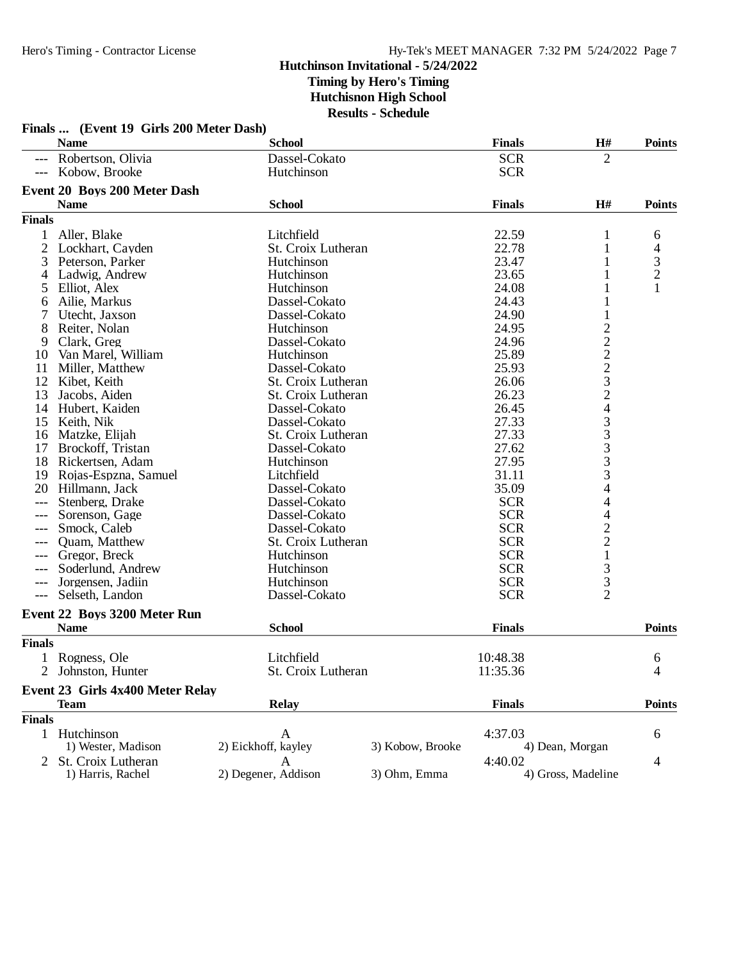|               | Finals  (Event 19 Girls 200 Meter Dash) |                     |                  |               |                    |                |
|---------------|-----------------------------------------|---------------------|------------------|---------------|--------------------|----------------|
|               | <b>Name</b>                             | <b>School</b>       |                  | <b>Finals</b> | H#                 | <b>Points</b>  |
|               | --- Robertson, Olivia                   | Dassel-Cokato       |                  | <b>SCR</b>    | $\overline{2}$     |                |
|               | --- Kobow, Brooke                       | Hutchinson          |                  | <b>SCR</b>    |                    |                |
|               | <b>Event 20 Boys 200 Meter Dash</b>     |                     |                  |               |                    |                |
|               | <b>Name</b>                             | <b>School</b>       |                  | <b>Finals</b> | H#                 | <b>Points</b>  |
| <b>Finals</b> |                                         |                     |                  |               |                    |                |
|               | Aller, Blake                            | Litchfield          |                  | 22.59         | 1                  | 6              |
| 2             | Lockhart, Cayden                        | St. Croix Lutheran  |                  | 22.78         | $\mathbf{1}$       | $\overline{4}$ |
| 3             | Peterson, Parker                        | Hutchinson          |                  | 23.47         | 1                  |                |
| 4             | Ladwig, Andrew                          | Hutchinson          |                  | 23.65         | 1                  | $\frac{3}{2}$  |
| 5             | Elliot, Alex                            | Hutchinson          |                  | 24.08         |                    | 1              |
| 6             | Ailie, Markus                           | Dassel-Cokato       |                  | 24.43         |                    |                |
| 7             | Utecht, Jaxson                          | Dassel-Cokato       |                  | 24.90         | 1                  |                |
| 8             | Reiter, Nolan                           | Hutchinson          |                  | 24.95         |                    |                |
| 9             | Clark, Greg                             | Dassel-Cokato       |                  | 24.96         |                    |                |
| 10            | Van Marel, William                      | Hutchinson          |                  | 25.89         |                    |                |
| 11            | Miller, Matthew                         | Dassel-Cokato       |                  | 25.93         |                    |                |
| 12            | Kibet, Keith                            | St. Croix Lutheran  |                  | 26.06         |                    |                |
| 13            | Jacobs, Aiden                           | St. Croix Lutheran  |                  | 26.23         |                    |                |
| 14            | Hubert, Kaiden                          | Dassel-Cokato       |                  | 26.45         |                    |                |
| 15            | Keith, Nik                              | Dassel-Cokato       |                  | 27.33         |                    |                |
| 16            | Matzke, Elijah                          | St. Croix Lutheran  |                  | 27.33         |                    |                |
| 17            | Brockoff, Tristan                       | Dassel-Cokato       |                  | 27.62         |                    |                |
| 18            | Rickertsen, Adam                        | Hutchinson          |                  | 27.95         |                    |                |
| 19            | Rojas-Espzna, Samuel                    | Litchfield          |                  | 31.11         | 222232433333       |                |
| 20            | Hillmann, Jack                          | Dassel-Cokato       |                  | 35.09         | 4                  |                |
| ---           | Stenberg, Drake                         | Dassel-Cokato       |                  | <b>SCR</b>    | 4                  |                |
|               | Sorenson, Gage                          | Dassel-Cokato       |                  | <b>SCR</b>    | 4                  |                |
| ---           | Smock, Caleb                            | Dassel-Cokato       |                  | <b>SCR</b>    |                    |                |
| ---           | Quam, Matthew                           | St. Croix Lutheran  |                  | <b>SCR</b>    | $\frac{2}{2}$      |                |
| ---           | Gregor, Breck                           | Hutchinson          |                  | <b>SCR</b>    | $\mathbf{1}$       |                |
|               | Soderlund, Andrew                       | Hutchinson          |                  | <b>SCR</b>    | 3                  |                |
| $---$         | Jorgensen, Jadiin                       | Hutchinson          |                  | <b>SCR</b>    | 3                  |                |
| $---$         | Selseth, Landon                         | Dassel-Cokato       |                  | <b>SCR</b>    | $\overline{2}$     |                |
|               | Event 22 Boys 3200 Meter Run            |                     |                  |               |                    |                |
|               | <b>Name</b>                             | <b>School</b>       |                  | <b>Finals</b> |                    | <b>Points</b>  |
| <b>Finals</b> |                                         |                     |                  |               |                    |                |
|               | Rogness, Ole                            | Litchfield          |                  | 10:48.38      |                    | 6              |
|               | 2 Johnston, Hunter                      | St. Croix Lutheran  |                  | 11:35.36      |                    | 4              |
|               |                                         |                     |                  |               |                    |                |
|               | Event 23 Girls 4x400 Meter Relay        |                     |                  |               |                    |                |
|               | <b>Team</b>                             | <b>Relay</b>        |                  | <b>Finals</b> |                    | <b>Points</b>  |
| <b>Finals</b> |                                         |                     |                  |               |                    |                |
|               | 1 Hutchinson                            | A                   |                  | 4:37.03       |                    | 6              |
|               | 1) Wester, Madison                      | 2) Eickhoff, kayley | 3) Kobow, Brooke |               | 4) Dean, Morgan    |                |
|               | St. Croix Lutheran                      | A                   |                  | 4:40.02       |                    | 4              |
|               | 1) Harris, Rachel                       | 2) Degener, Addison | 3) Ohm, Emma     |               | 4) Gross, Madeline |                |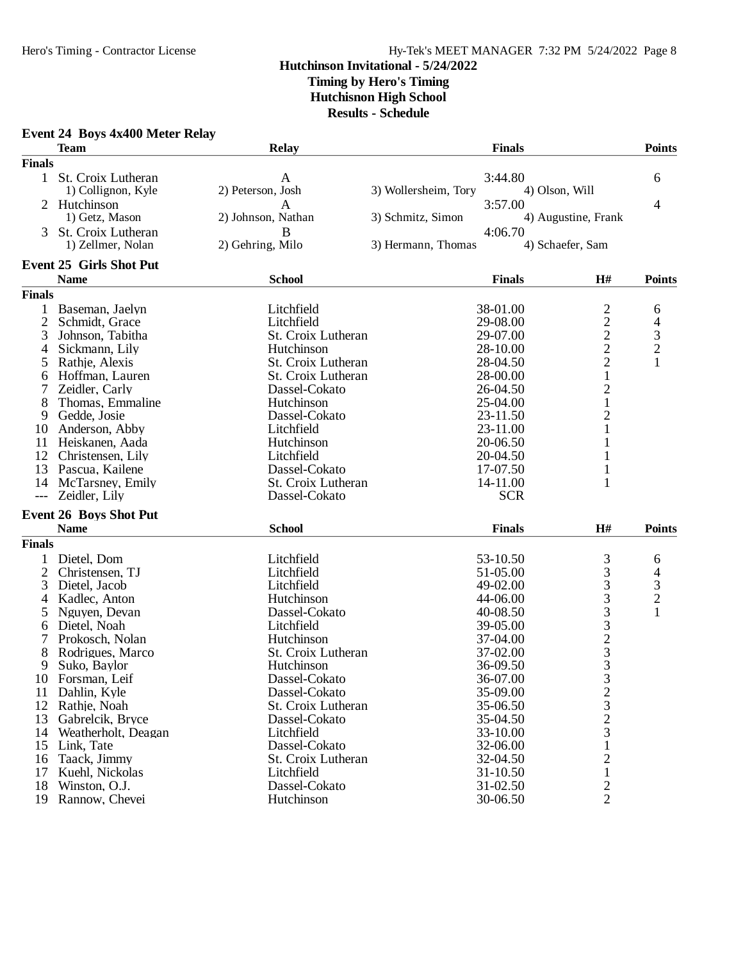## Hero's Timing - Contractor License Hy-Tek's MEET MANAGER 7:32 PM 5/24/2022 Page 8

## **Hutchinson Invitational - 5/24/2022 Timing by Hero's Timing**

**Hutchisnon High School**

**Results - Schedule**

| <b>Event 24 Boys 4x400 Meter Relay</b> |  |  |  |  |
|----------------------------------------|--|--|--|--|
|----------------------------------------|--|--|--|--|

|                | <b>Team</b>                      | Relay              | <b>Finals</b>        |                     | <b>Points</b>  |
|----------------|----------------------------------|--------------------|----------------------|---------------------|----------------|
| <b>Finals</b>  |                                  |                    |                      |                     |                |
| 1              | St. Croix Lutheran               | A                  | 3:44.80              |                     | 6              |
|                | 1) Collignon, Kyle               | 2) Peterson, Josh  | 3) Wollersheim, Tory | 4) Olson, Will      |                |
| 2              | Hutchinson                       | $\mathbf{A}$       | 3:57.00              |                     | 4              |
|                | 1) Getz, Mason                   | 2) Johnson, Nathan | 3) Schmitz, Simon    | 4) Augustine, Frank |                |
| 3              | St. Croix Lutheran               | B                  | 4:06.70              |                     |                |
|                | 1) Zellmer, Nolan                | 2) Gehring, Milo   | 3) Hermann, Thomas   | 4) Schaefer, Sam    |                |
|                | <b>Event 25 Girls Shot Put</b>   |                    |                      |                     |                |
|                | <b>Name</b>                      | <b>School</b>      | <b>Finals</b>        | H#                  | <b>Points</b>  |
| <b>Finals</b>  |                                  |                    |                      |                     |                |
| 1              | Baseman, Jaelyn                  | Litchfield         | 38-01.00             | $\overline{c}$      | 6              |
| $\mathbf{2}$   | Schmidt, Grace                   | Litchfield         | 29-08.00             | $\overline{c}$      | 4              |
| 3              | Johnson, Tabitha                 | St. Croix Lutheran | 29-07.00             |                     | 3              |
| 4              | Sickmann, Lily                   | Hutchinson         | 28-10.00             | $\frac{2}{2}$       | $\overline{c}$ |
| 5              | Rathje, Alexis                   | St. Croix Lutheran | 28-04.50             | $\overline{2}$      | 1              |
|                |                                  |                    |                      |                     |                |
| 6              | Hoffman, Lauren                  | St. Croix Lutheran | 28-00.00             | $\mathbf{1}$        |                |
| 7              | Zeidler, Carly                   | Dassel-Cokato      | 26-04.50             | $\sqrt{2}$          |                |
| 8              | Thomas, Emmaline                 | Hutchinson         | 25-04.00             | $\mathbf 1$         |                |
| 9              | Gedde, Josie                     | Dassel-Cokato      | 23-11.50             | $\frac{2}{1}$       |                |
| 10             | Anderson, Abby                   | Litchfield         | 23-11.00             |                     |                |
| 11             | Heiskanen, Aada                  | Hutchinson         | 20-06.50             | 1                   |                |
| 12             | Christensen, Lily                | Litchfield         | 20-04.50             | 1                   |                |
| 13             | Pascua, Kailene                  | Dassel-Cokato      | 17-07.50             | $\mathbf{1}$        |                |
| 14             | McTarsney, Emily                 | St. Croix Lutheran | 14-11.00             | 1                   |                |
| $---$          | Zeidler, Lily                    | Dassel-Cokato      | <b>SCR</b>           |                     |                |
|                | <b>Event 26 Boys Shot Put</b>    |                    |                      |                     |                |
|                | <b>Name</b>                      | <b>School</b>      | <b>Finals</b>        | H#                  | <b>Points</b>  |
| <b>Finals</b>  |                                  |                    |                      |                     |                |
| 1              | Dietel, Dom                      | Litchfield         | 53-10.50             |                     | 6              |
| $\overline{2}$ | Christensen, TJ                  | Litchfield         | 51-05.00             |                     | 4              |
| 3              | Dietel, Jacob                    | Litchfield         | 49-02.00             | 3333323             | 3              |
| 4              | Kadlec, Anton                    | Hutchinson         | 44-06.00             |                     | $\overline{c}$ |
| 5              | Nguyen, Devan                    | Dassel-Cokato      | 40-08.50             |                     | $\mathbf{1}$   |
| 6              | Dietel, Noah                     | Litchfield         | 39-05.00             |                     |                |
| 7              | Prokosch, Nolan                  | Hutchinson         | 37-04.00             |                     |                |
| 8              | Rodrigues, Marco                 | St. Croix Lutheran | 37-02.00             |                     |                |
| 9              | Suko, Baylor                     | Hutchinson         | 36-09.50             |                     |                |
|                | 10 Forsman, Leif                 | Dassel-Cokato      | 36-07.00             | 3                   |                |
| 11             | Dahlin, Kyle                     | Dassel-Cokato      | 35-09.00             |                     |                |
|                | 12 Rathje, Noah                  | St. Croix Lutheran | 35-06.50             | $\frac{2}{3}$       |                |
| 13             | Gabrelcik, Bryce                 | Dassel-Cokato      | 35-04.50             | $\overline{c}$      |                |
| 14             | Weatherholt, Deagan              | Litchfield         | 33-10.00             | $\overline{3}$      |                |
| 15             | Link, Tate                       | Dassel-Cokato      | 32-06.00             | 1                   |                |
| 16             | Taack, Jimmy                     | St. Croix Lutheran | 32-04.50             | 2                   |                |
| 17             |                                  | Litchfield         | 31-10.50             | 1                   |                |
| 18             | Kuehl, Nickolas<br>Winston, O.J. | Dassel-Cokato      | 31-02.50             | 2                   |                |
|                |                                  |                    |                      | $\overline{2}$      |                |
|                | 19 Rannow, Chevei                | Hutchinson         | 30-06.50             |                     |                |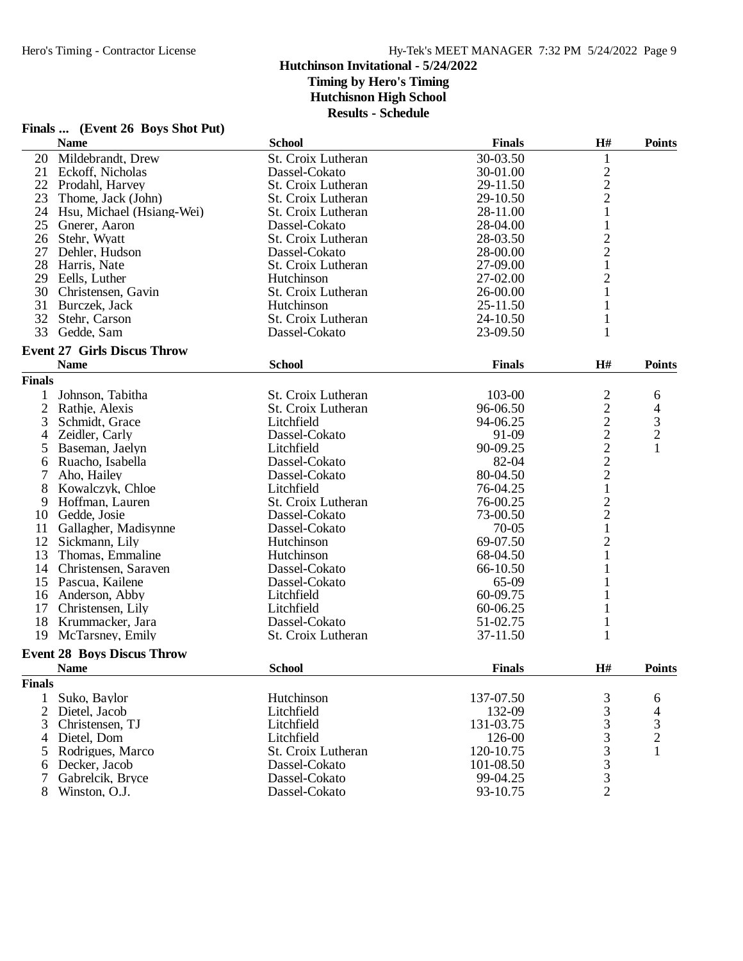|                | Finals  (Event 26 Boys Shot Put)   |                    |               |                         |                                            |
|----------------|------------------------------------|--------------------|---------------|-------------------------|--------------------------------------------|
|                | <b>Name</b>                        | <b>School</b>      | <b>Finals</b> | H#                      | <b>Points</b>                              |
| 20             | Mildebrandt, Drew                  | St. Croix Lutheran | 30-03.50      | $\mathbf{1}$            |                                            |
| 21             | Eckoff, Nicholas                   | Dassel-Cokato      | 30-01.00      | $\sqrt{2}$              |                                            |
|                | 22 Prodahl, Harvey                 | St. Croix Lutheran | 29-11.50      | $\overline{c}$          |                                            |
| 23             | Thome, Jack (John)                 | St. Croix Lutheran | 29-10.50      | $\mathbf{2}$            |                                            |
|                | 24 Hsu, Michael (Hsiang-Wei)       | St. Croix Lutheran | 28-11.00      | $\mathbf{1}$            |                                            |
|                | 25 Gnerer, Aaron                   | Dassel-Cokato      | 28-04.00      | $\mathbf{1}$            |                                            |
|                | 26 Stehr, Wyatt                    | St. Croix Lutheran | 28-03.50      | $\overline{c}$          |                                            |
| 27             | Dehler, Hudson                     | Dassel-Cokato      | 28-00.00      | $\overline{c}$          |                                            |
|                | 28 Harris, Nate                    | St. Croix Lutheran | 27-09.00      | $\mathbf{1}$            |                                            |
|                | 29 Eells, Luther                   | Hutchinson         | 27-02.00      | $\overline{c}$          |                                            |
|                | 30 Christensen, Gavin              | St. Croix Lutheran | 26-00.00      | $\mathbf{1}$            |                                            |
|                | 31 Burczek, Jack                   | Hutchinson         | 25-11.50      | 1                       |                                            |
| 32             | Stehr, Carson                      | St. Croix Lutheran | 24-10.50      | 1                       |                                            |
| 33             | Gedde, Sam                         | Dassel-Cokato      | 23-09.50      | 1                       |                                            |
|                | <b>Event 27 Girls Discus Throw</b> |                    |               |                         |                                            |
|                | <b>Name</b>                        | <b>School</b>      | <b>Finals</b> | H#                      | <b>Points</b>                              |
| <b>Finals</b>  |                                    |                    |               |                         |                                            |
| 1              | Johnson, Tabitha                   | St. Croix Lutheran | 103-00        | $\overline{\mathbf{c}}$ | 6                                          |
| $\overline{2}$ | Rathje, Alexis                     | St. Croix Lutheran | 96-06.50      | $\overline{c}$          | 4                                          |
| 3              | Schmidt, Grace                     | Litchfield         | 94-06.25      | $\overline{c}$          |                                            |
| 4              | Zeidler, Carly                     | Dassel-Cokato      | 91-09         |                         | $\begin{array}{c} 3 \\ 2 \\ 1 \end{array}$ |
| 5              | Baseman, Jaelyn                    | Litchfield         | 90-09.25      | $\frac{2}{2}$           |                                            |
| 6              | Ruacho, Isabella                   | Dassel-Cokato      | 82-04         |                         |                                            |
| 7              | Aho, Hailey                        | Dassel-Cokato      | 80-04.50      | $\overline{c}$          |                                            |
| 8              | Kowalczyk, Chloe                   | Litchfield         | 76-04.25      | $\mathbf{1}$            |                                            |
| 9              | Hoffman, Lauren                    | St. Croix Lutheran | 76-00.25      | $\mathbf{2}$            |                                            |
| 10             | Gedde, Josie                       | Dassel-Cokato      | 73-00.50      | $\overline{c}$          |                                            |
| 11             | Gallagher, Madisynne               | Dassel-Cokato      | $70-05$       | $\mathbf{1}$            |                                            |
|                | 12 Sickmann, Lily                  | Hutchinson         | 69-07.50      | $\overline{c}$          |                                            |
| 13             | Thomas, Emmaline                   | Hutchinson         | 68-04.50      | $\mathbf{1}$            |                                            |
|                | 14 Christensen, Saraven            | Dassel-Cokato      | 66-10.50      |                         |                                            |
|                | 15 Pascua, Kailene                 | Dassel-Cokato      | 65-09         | 1                       |                                            |
| 16             | Anderson, Abby                     | Litchfield         | 60-09.75      | 1                       |                                            |
| 17             | Christensen, Lily                  | Litchfield         | 60-06.25      | 1                       |                                            |
| 18             | Krummacker, Jara                   | Dassel-Cokato      | 51-02.75      | $\mathbf{1}$            |                                            |
|                | 19 McTarsney, Emily                | St. Croix Lutheran | 37-11.50      | 1                       |                                            |
|                | <b>Event 28 Boys Discus Throw</b>  |                    |               |                         |                                            |
|                | <b>Name</b>                        | <b>School</b>      | <b>Finals</b> | $\mathbf{H}^{\#}$       | <b>Points</b>                              |
| <b>Finals</b>  |                                    |                    |               |                         |                                            |
| 1              | Suko, Baylor                       | Hutchinson         | 137-07.50     | 3                       | 6                                          |
| 2              | Dietel, Jacob                      | Litchfield         | 132-09        | 3                       | 4                                          |
| 3              | Christensen, TJ                    | Litchfield         | 131-03.75     | 3                       | 3                                          |
| 4              | Dietel, Dom                        | Litchfield         | 126-00        | 3                       | $\overline{c}$                             |
| 5              | Rodrigues, Marco                   | St. Croix Lutheran | 120-10.75     |                         | 1                                          |
| 6              | Decker, Jacob                      | Dassel-Cokato      | 101-08.50     | $\frac{3}{3}$           |                                            |
|                | Gabrelcik, Bryce                   | Dassel-Cokato      | 99-04.25      | $\mathfrak{Z}$          |                                            |
| 8              | Winston, O.J.                      | Dassel-Cokato      | 93-10.75      | $\overline{2}$          |                                            |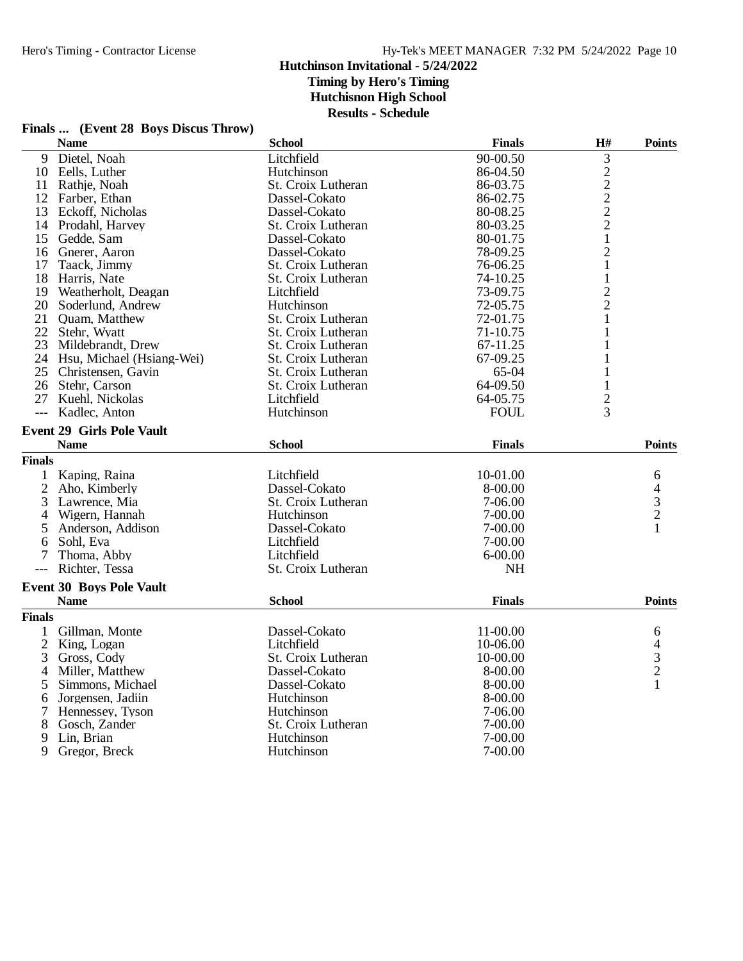## **Finals ... (Event 28 Boys Discus Throw)**

|                | <b>Name</b>                      | <b>School</b>      | <b>Finals</b> | H#                                                | <b>Points</b>                              |
|----------------|----------------------------------|--------------------|---------------|---------------------------------------------------|--------------------------------------------|
|                | 9 Dietel, Noah                   | Litchfield         | 90-00.50      | 3                                                 |                                            |
|                | 10 Eells, Luther                 | Hutchinson         | 86-04.50      |                                                   |                                            |
| 11             | Rathje, Noah                     | St. Croix Lutheran | 86-03.75      | $\begin{array}{c}\n2 \\ 2 \\ 2 \\ 2\n\end{array}$ |                                            |
|                | 12 Farber, Ethan                 | Dassel-Cokato      | 86-02.75      |                                                   |                                            |
| 13             | Eckoff, Nicholas                 | Dassel-Cokato      | 80-08.25      |                                                   |                                            |
|                | 14 Prodahl, Harvey               | St. Croix Lutheran | 80-03.25      |                                                   |                                            |
| 15             | Gedde, Sam                       | Dassel-Cokato      | 80-01.75      | $\mathbf 1$                                       |                                            |
| 16             | Gnerer, Aaron                    | Dassel-Cokato      | 78-09.25      | $\overline{c}$                                    |                                            |
| 17             | Taack, Jimmy                     | St. Croix Lutheran | 76-06.25      | 1                                                 |                                            |
| 18             | Harris, Nate                     | St. Croix Lutheran | 74-10.25      | $\mathbf{1}$                                      |                                            |
|                | 19 Weatherholt, Deagan           | Litchfield         | 73-09.75      |                                                   |                                            |
| 20             | Soderlund, Andrew                | Hutchinson         | 72-05.75      | $\frac{2}{2}$                                     |                                            |
|                | 21 Quam, Matthew                 | St. Croix Lutheran | 72-01.75      | 1                                                 |                                            |
|                | 22 Stehr, Wyatt                  | St. Croix Lutheran | 71-10.75      | 1                                                 |                                            |
|                | 23 Mildebrandt, Drew             | St. Croix Lutheran | 67-11.25      | 1                                                 |                                            |
|                | 24 Hsu, Michael (Hsiang-Wei)     | St. Croix Lutheran | 67-09.25      |                                                   |                                            |
| 25             | Christensen, Gavin               | St. Croix Lutheran | 65-04         | 1                                                 |                                            |
|                | 26 Stehr, Carson                 | St. Croix Lutheran | 64-09.50      | 1                                                 |                                            |
|                | 27 Kuehl, Nickolas               | Litchfield         | 64-05.75      | $\overline{c}$                                    |                                            |
| $\overline{a}$ | Kadlec, Anton                    | Hutchinson         | <b>FOUL</b>   | 3                                                 |                                            |
|                | <b>Event 29 Girls Pole Vault</b> |                    |               |                                                   |                                            |
|                | <b>Name</b>                      | <b>School</b>      | <b>Finals</b> |                                                   | <b>Points</b>                              |
| <b>Finals</b>  |                                  |                    |               |                                                   |                                            |
| $\mathbf{1}$   | Kaping, Raina                    | Litchfield         | 10-01.00      |                                                   | 6                                          |
| $\overline{2}$ | Aho, Kimberly                    | Dassel-Cokato      | 8-00.00       |                                                   |                                            |
| 3              | Lawrence, Mia                    | St. Croix Lutheran | 7-06.00       |                                                   | $\begin{array}{c} 4 \\ 3 \\ 2 \end{array}$ |
| 4              | Wigern, Hannah                   | Hutchinson         | $7 - 00.00$   |                                                   |                                            |
| 5              | Anderson, Addison                | Dassel-Cokato      | 7-00.00       |                                                   | 1                                          |
| 6              | Sohl, Eva                        | Litchfield         | 7-00.00       |                                                   |                                            |
| 7              | Thoma, Abby                      | Litchfield         | $6 - 00.00$   |                                                   |                                            |
| $---$          | Richter, Tessa                   | St. Croix Lutheran | <b>NH</b>     |                                                   |                                            |
|                |                                  |                    |               |                                                   |                                            |
|                | <b>Event 30 Boys Pole Vault</b>  |                    |               |                                                   |                                            |
|                | <b>Name</b>                      | <b>School</b>      | <b>Finals</b> |                                                   | <b>Points</b>                              |
| <b>Finals</b>  |                                  |                    |               |                                                   |                                            |
| 1              | Gillman, Monte                   | Dassel-Cokato      | 11-00.00      |                                                   | 6                                          |
| $\overline{2}$ | King, Logan                      | Litchfield         | 10-06.00      |                                                   |                                            |
| 3              | Gross, Cody                      | St. Croix Lutheran | 10-00.00      |                                                   | $\begin{array}{c} 4 \\ 3 \\ 2 \end{array}$ |
| 4              | Miller, Matthew                  | Dassel-Cokato      | 8-00.00       |                                                   |                                            |
| 5              | Simmons, Michael                 | Dassel-Cokato      | 8-00.00       |                                                   | $\mathbf{1}$                               |
| 6              | Jorgensen, Jadiin                | Hutchinson         | 8-00.00       |                                                   |                                            |
| 7              | Hennessey, Tyson                 | Hutchinson         | 7-06.00       |                                                   |                                            |
| 8              | Gosch, Zander                    | St. Croix Lutheran | 7-00.00       |                                                   |                                            |
| 9              | Lin, Brian                       | Hutchinson         | $7 - 00.00$   |                                                   |                                            |
| 9              | Gregor, Breck                    | Hutchinson         | 7-00.00       |                                                   |                                            |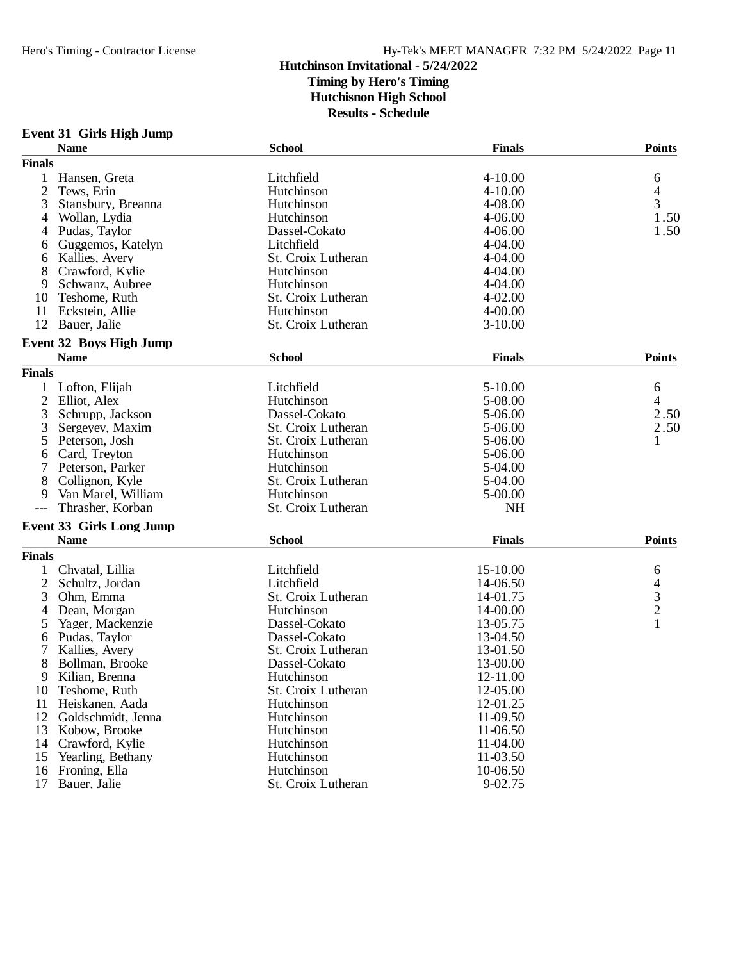## **Event 31 Girls High Jump**

|                | <b>Name</b>                     | <b>School</b>      | <b>Finals</b> | <b>Points</b> |
|----------------|---------------------------------|--------------------|---------------|---------------|
| <b>Finals</b>  |                                 |                    |               |               |
| 1              | Hansen, Greta                   | Litchfield         | $4 - 10.00$   | 6             |
| $\overline{2}$ | Tews, Erin                      | Hutchinson         | 4-10.00       | 4             |
| 3              | Stansbury, Breanna              | Hutchinson         | 4-08.00       | 3             |
| 4              | Wollan, Lydia                   | Hutchinson         | $4 - 06.00$   | 1.50          |
| 4              | Pudas, Taylor                   | Dassel-Cokato      | $4 - 06.00$   | 1.50          |
| 6              | Guggemos, Katelyn               | Litchfield         | 4-04.00       |               |
| 6              | Kallies, Avery                  | St. Croix Lutheran | $4 - 04.00$   |               |
| 8              | Crawford, Kylie                 | Hutchinson         | 4-04.00       |               |
| 9              | Schwanz, Aubree                 | Hutchinson         | $4 - 04.00$   |               |
| 10             | Teshome, Ruth                   | St. Croix Lutheran | $4 - 02.00$   |               |
| 11             | Eckstein, Allie                 | Hutchinson         | $4 - 00.00$   |               |
| 12             | Bauer, Jalie                    | St. Croix Lutheran | $3-10.00$     |               |
|                |                                 |                    |               |               |
|                | <b>Event 32 Boys High Jump</b>  |                    |               |               |
|                | <b>Name</b>                     | <b>School</b>      | <b>Finals</b> | <b>Points</b> |
| <b>Finals</b>  |                                 |                    |               |               |
|                | Lofton, Elijah                  | Litchfield         | 5-10.00       | 6             |
| $\overline{2}$ | Elliot, Alex                    | Hutchinson         | 5-08.00       | 4             |
| 3              | Schrupp, Jackson                | Dassel-Cokato      | 5-06.00       | 2.50          |
| 3              | Sergeyev, Maxim                 | St. Croix Lutheran | 5-06.00       | 2.50          |
| 5              | Peterson, Josh                  | St. Croix Lutheran | 5-06.00       | 1             |
| 6              | Card, Treyton                   | Hutchinson         | 5-06.00       |               |
| 7              | Peterson, Parker                | Hutchinson         | 5-04.00       |               |
| 8              | Collignon, Kyle                 | St. Croix Lutheran | 5-04.00       |               |
| 9              | Van Marel, William              | Hutchinson         | 5-00.00       |               |
| $---$          | Thrasher, Korban                | St. Croix Lutheran | <b>NH</b>     |               |
|                | <b>Event 33 Girls Long Jump</b> |                    |               |               |
|                | <b>Name</b>                     | <b>School</b>      | <b>Finals</b> | <b>Points</b> |
| <b>Finals</b>  |                                 |                    |               |               |
|                |                                 |                    |               |               |
| 1              | Chvatal, Lillia                 | Litchfield         | 15-10.00      | 6             |
| $\overline{2}$ | Schultz, Jordan                 | Litchfield         | 14-06.50      | $\frac{4}{3}$ |
| 3              | Ohm, Emma                       | St. Croix Lutheran | 14-01.75      |               |
| 4              | Dean, Morgan                    | Hutchinson         | 14-00.00      |               |
| 5              | Yager, Mackenzie                | Dassel-Cokato      | 13-05.75      | 1             |
| 6              | Pudas, Taylor                   | Dassel-Cokato      | 13-04.50      |               |
| 7              | Kallies, Avery                  | St. Croix Lutheran | 13-01.50      |               |
| 8              | Bollman, Brooke                 | Dassel-Cokato      | 13-00.00      |               |
| 9              | Kilian, Brenna                  | Hutchinson         | 12-11.00      |               |
| 10             | Teshome, Ruth                   | St. Croix Lutheran | 12-05.00      |               |
| 11             | Heiskanen, Aada                 | Hutchinson         | 12-01.25      |               |
| 12             | Goldschmidt, Jenna              | Hutchinson         | 11-09.50      |               |
| 13             | Kobow, Brooke                   | Hutchinson         | 11-06.50      |               |
| 14             | Crawford, Kylie                 | Hutchinson         | 11-04.00      |               |
| 15             | Yearling, Bethany               | Hutchinson         | 11-03.50      |               |
| 16             | Froning, Ella                   | Hutchinson         | 10-06.50      |               |
| 17             | Bauer, Jalie                    | St. Croix Lutheran | 9-02.75       |               |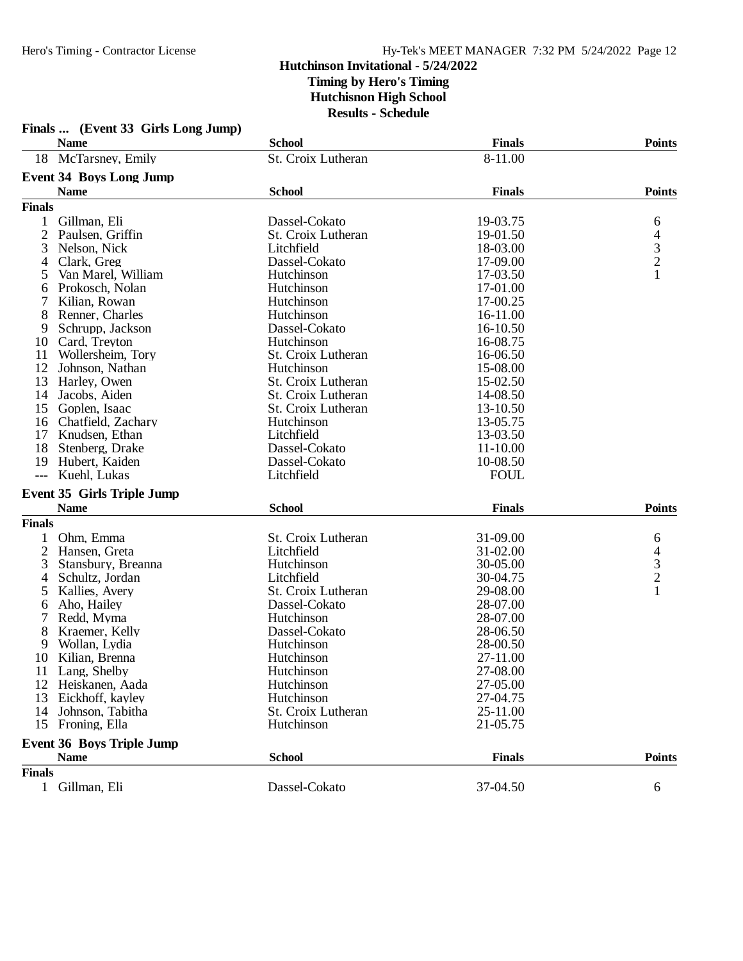|                | Finals  (Event 33 Girls Long Jump) |                    |               |                          |
|----------------|------------------------------------|--------------------|---------------|--------------------------|
|                | <b>Name</b>                        | <b>School</b>      | <b>Finals</b> | <b>Points</b>            |
|                | 18 McTarsney, Emily                | St. Croix Lutheran | 8-11.00       |                          |
|                | <b>Event 34 Boys Long Jump</b>     |                    |               |                          |
|                | <b>Name</b>                        | <b>School</b>      | <b>Finals</b> | <b>Points</b>            |
| <b>Finals</b>  |                                    |                    |               |                          |
| 1              | Gillman, Eli                       | Dassel-Cokato      | 19-03.75      | 6                        |
| 2              | Paulsen, Griffin                   | St. Croix Lutheran | 19-01.50      | $\overline{\mathcal{A}}$ |
| 3              | Nelson, Nick                       | Litchfield         | 18-03.00      |                          |
| 4              | Clark, Greg                        | Dassel-Cokato      | 17-09.00      | $\frac{3}{2}$            |
| 5              | Van Marel, William                 | Hutchinson         | 17-03.50      | $\mathbf{1}$             |
| 6              | Prokosch, Nolan                    | Hutchinson         | 17-01.00      |                          |
| 7              | Kilian, Rowan                      | Hutchinson         | 17-00.25      |                          |
| 8              | Renner, Charles                    | Hutchinson         | 16-11.00      |                          |
| 9              | Schrupp, Jackson                   | Dassel-Cokato      | 16-10.50      |                          |
|                | Card, Treyton                      | Hutchinson         | 16-08.75      |                          |
| 10             |                                    |                    |               |                          |
| 11             | Wollersheim, Tory                  | St. Croix Lutheran | 16-06.50      |                          |
| 12             | Johnson, Nathan                    | Hutchinson         | 15-08.00      |                          |
| 13             | Harley, Owen                       | St. Croix Lutheran | 15-02.50      |                          |
| 14             | Jacobs, Aiden                      | St. Croix Lutheran | 14-08.50      |                          |
| 15             | Goplen, Isaac                      | St. Croix Lutheran | 13-10.50      |                          |
| 16             | Chatfield, Zachary                 | Hutchinson         | 13-05.75      |                          |
| 17             | Knudsen, Ethan                     | Litchfield         | 13-03.50      |                          |
| 18             | Stenberg, Drake                    | Dassel-Cokato      | 11-10.00      |                          |
| 19             | Hubert, Kaiden                     | Dassel-Cokato      | 10-08.50      |                          |
| $---$          | Kuehl, Lukas                       | Litchfield         | <b>FOUL</b>   |                          |
|                | <b>Event 35 Girls Triple Jump</b>  |                    |               |                          |
|                | <b>Name</b>                        | <b>School</b>      | <b>Finals</b> | <b>Points</b>            |
| <b>Finals</b>  |                                    |                    |               |                          |
| 1              | Ohm, Emma                          | St. Croix Lutheran | 31-09.00      | 6                        |
| $\overline{c}$ | Hansen, Greta                      | Litchfield         | 31-02.00      |                          |
| 3              | Stansbury, Breanna                 | Hutchinson         | 30-05.00      | $\frac{4}{3}$            |
| 4              | Schultz, Jordan                    | Litchfield         | 30-04.75      |                          |
| 5              | Kallies, Avery                     | St. Croix Lutheran | 29-08.00      | $\mathbf{1}$             |
| 6              | Aho, Hailey                        | Dassel-Cokato      | 28-07.00      |                          |
| 7              | Redd, Myma                         | Hutchinson         | 28-07.00      |                          |
| 8              | Kraemer, Kelly                     | Dassel-Cokato      | 28-06.50      |                          |
| 9              | Wollan, Lydia                      | Hutchinson         | 28-00.50      |                          |
| 10             | Kilian, Brenna                     | Hutchinson         | 27-11.00      |                          |
|                | 11 Lang, Shelby                    | Hutchinson         | 27-08.00      |                          |
| 12             | Heiskanen, Aada                    | Hutchinson         | 27-05.00      |                          |
| 13             | Eickhoff, kayley                   | Hutchinson         | 27-04.75      |                          |
|                | Johnson, Tabitha                   | St. Croix Lutheran | 25-11.00      |                          |
| 14             |                                    |                    |               |                          |
| 15             | Froning, Ella                      | Hutchinson         | 21-05.75      |                          |
|                | <b>Event 36 Boys Triple Jump</b>   |                    |               |                          |
|                | <b>Name</b>                        | <b>School</b>      | <b>Finals</b> | <b>Points</b>            |
| <b>Finals</b>  |                                    |                    |               |                          |
|                | 1 Gillman, Eli                     | Dassel-Cokato      | 37-04.50      | 6                        |